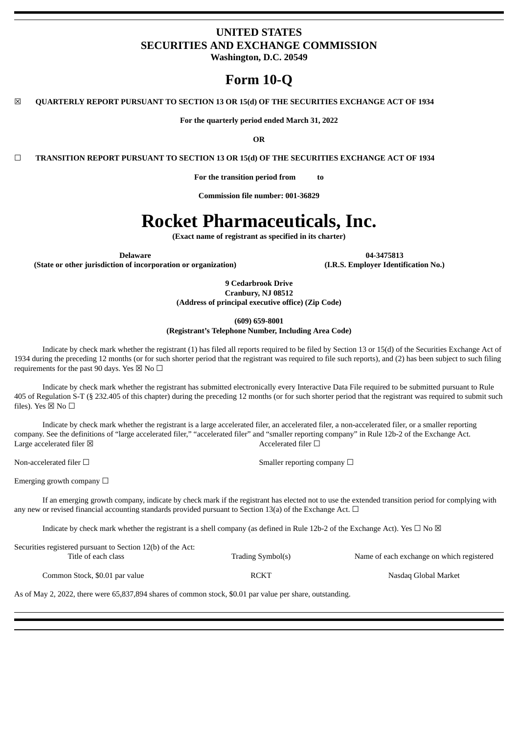# **UNITED STATES SECURITIES AND EXCHANGE COMMISSION**

**Washington, D.C. 20549**

# **Form 10-Q**

☒ **QUARTERLY REPORT PURSUANT TO SECTION 13 OR 15(d) OF THE SECURITIES EXCHANGE ACT OF 1934**

**For the quarterly period ended March 31, 2022**

**OR**

☐ **TRANSITION REPORT PURSUANT TO SECTION 13 OR 15(d) OF THE SECURITIES EXCHANGE ACT OF 1934**

**For the transition period from to**

**Commission file number: 001-36829**

# **Rocket Pharmaceuticals, Inc.**

**(Exact name of registrant as specified in its charter)**

**(State or other jurisdiction of incorporation or organization) (I.R.S. Employer Identification No.)**

**Delaware 04-3475813**

**9 Cedarbrook Drive Cranbury, NJ 08512**

**(Address of principal executive office) (Zip Code)**

**(609) 659-8001**

**(Registrant's Telephone Number, Including Area Code)**

Indicate by check mark whether the registrant (1) has filed all reports required to be filed by Section 13 or 15(d) of the Securities Exchange Act of 1934 during the preceding 12 months (or for such shorter period that the registrant was required to file such reports), and (2) has been subject to such filing requirements for the past 90 days. Yes  $\boxtimes$  No  $\Box$ 

Indicate by check mark whether the registrant has submitted electronically every Interactive Data File required to be submitted pursuant to Rule 405 of Regulation S-T (§ 232.405 of this chapter) during the preceding 12 months (or for such shorter period that the registrant was required to submit such files). Yes  $\boxtimes$  No  $\square$ 

Indicate by check mark whether the registrant is a large accelerated filer, an accelerated filer, a non-accelerated filer, or a smaller reporting company. See the definitions of "large accelerated filer," "accelerated filer" and "smaller reporting company" in Rule 12b-2 of the Exchange Act. Large accelerated filer  $\boxtimes$  Accelerated filer  $\Box$ 

Non-accelerated filer □ smaller reporting company □ Smaller reporting company □

Emerging growth company  $\Box$ 

If an emerging growth company, indicate by check mark if the registrant has elected not to use the extended transition period for complying with any new or revised financial accounting standards provided pursuant to Section 13(a) of the Exchange Act.  $\Box$ 

Indicate by check mark whether the registrant is a shell company (as defined in Rule 12b-2 of the Exchange Act). Yes  $\Box$  No  $\boxtimes$ 

| Securities registered pursuant to Section 12(b) of the Act: |                   |                                           |
|-------------------------------------------------------------|-------------------|-------------------------------------------|
| Title of each class                                         | Trading Symbol(s) | Name of each exchange on which registered |
| Common Stock, \$0.01 par value                              | RCKT              | Nasdag Global Market                      |

As of May 2, 2022, there were 65,837,894 shares of common stock, \$0.01 par value per share, outstanding.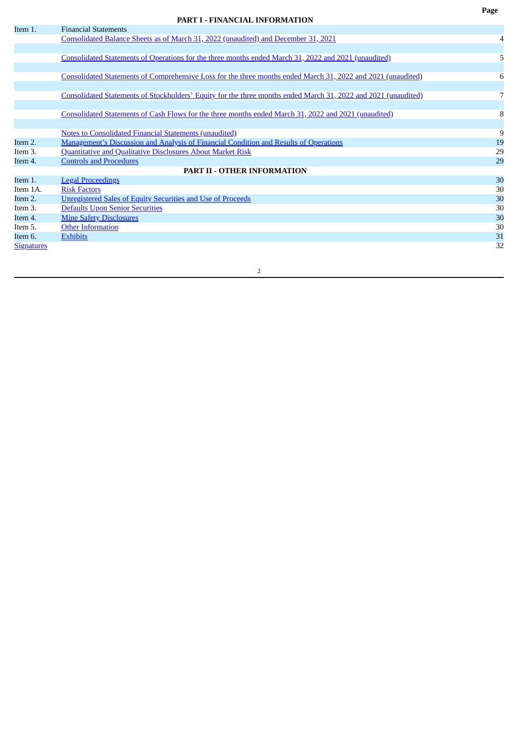# **PART I - FINANCIAL INFORMATION**

<span id="page-1-0"></span>

| Item 1.           | <b>Financial Statements</b>                                                                                    |    |
|-------------------|----------------------------------------------------------------------------------------------------------------|----|
|                   | Consolidated Balance Sheets as of March 31, 2022 (unaudited) and December 31, 2021                             | 4  |
|                   |                                                                                                                |    |
|                   | Consolidated Statements of Operations for the three months ended March 31, 2022 and 2021 (unaudited)           | 5  |
|                   |                                                                                                                |    |
|                   | Consolidated Statements of Comprehensive Loss for the three months ended March 31, 2022 and 2021 (unaudited)   | 6  |
|                   |                                                                                                                |    |
|                   | Consolidated Statements of Stockholders' Equity for the three months ended March 31, 2022 and 2021 (unaudited) | 7  |
|                   |                                                                                                                |    |
|                   | Consolidated Statements of Cash Flows for the three months ended March 31, 2022 and 2021 (unaudited)           | 8  |
|                   |                                                                                                                |    |
|                   | <b>Notes to Consolidated Financial Statements (unaudited)</b>                                                  | 9  |
| Item 2.           | <u>Management's Discussion and Analysis of Financial Condition and Results of Operations</u>                   | 19 |
| Item 3.           | <b>Quantitative and Qualitative Disclosures About Market Risk</b>                                              | 29 |
| Item 4.           | <b>Controls and Procedures</b>                                                                                 | 29 |
|                   | <b>PART II - OTHER INFORMATION</b>                                                                             |    |
| Item 1.           | <b>Legal Proceedings</b>                                                                                       | 30 |
| Item 1A.          | <b>Risk Factors</b>                                                                                            | 30 |
| Item 2.           | <b>Unregistered Sales of Equity Securities and Use of Proceeds</b>                                             | 30 |
| Item 3.           | <b>Defaults Upon Senior Securities</b>                                                                         | 30 |
| Item 4.           | <b>Mine Safety Disclosures</b>                                                                                 | 30 |
| Item 5.           | <b>Other Information</b>                                                                                       | 30 |
| Item 6.           | <b>Exhibits</b>                                                                                                | 31 |
| <b>Signatures</b> |                                                                                                                | 32 |
|                   |                                                                                                                |    |

**Page**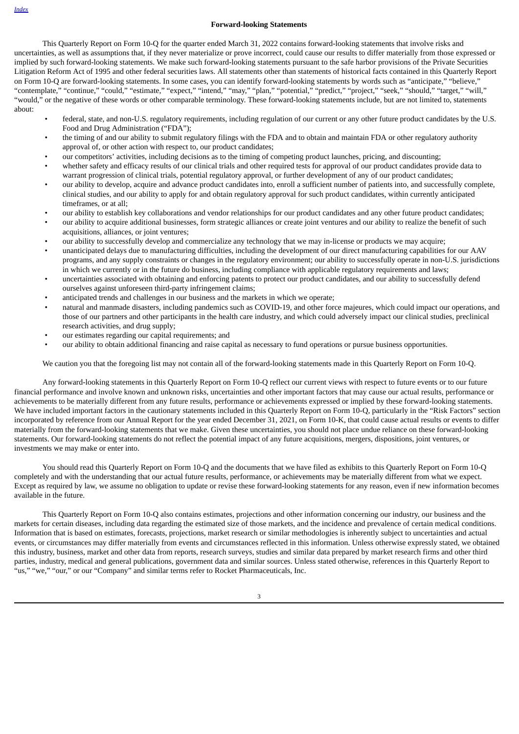#### **Forward-looking Statements**

This Quarterly Report on Form 10-Q for the quarter ended March 31, 2022 contains forward-looking statements that involve risks and uncertainties, as well as assumptions that, if they never materialize or prove incorrect, could cause our results to differ materially from those expressed or implied by such forward-looking statements. We make such forward-looking statements pursuant to the safe harbor provisions of the Private Securities Litigation Reform Act of 1995 and other federal securities laws. All statements other than statements of historical facts contained in this Quarterly Report on Form 10-Q are forward-looking statements. In some cases, you can identify forward-looking statements by words such as "anticipate," "believe," "contemplate," "continue," "could," "estimate," "expect," "intend," "may," "plan," "potential," "predict," "project," "seek," "should," "target," "will," "would," or the negative of these words or other comparable terminology. These forward-looking statements include, but are not limited to, statements about:

- federal, state, and non-U.S. regulatory requirements, including regulation of our current or any other future product candidates by the U.S. Food and Drug Administration ("FDA");
- the timing of and our ability to submit regulatory filings with the FDA and to obtain and maintain FDA or other regulatory authority approval of, or other action with respect to, our product candidates;
- our competitors' activities, including decisions as to the timing of competing product launches, pricing, and discounting;
- whether safety and efficacy results of our clinical trials and other required tests for approval of our product candidates provide data to warrant progression of clinical trials, potential regulatory approval, or further development of any of our product candidates;
- our ability to develop, acquire and advance product candidates into, enroll a sufficient number of patients into, and successfully complete, clinical studies, and our ability to apply for and obtain regulatory approval for such product candidates, within currently anticipated timeframes, or at all;
- our ability to establish key collaborations and vendor relationships for our product candidates and any other future product candidates;
- our ability to acquire additional businesses, form strategic alliances or create joint ventures and our ability to realize the benefit of such acquisitions, alliances, or joint ventures;
- our ability to successfully develop and commercialize any technology that we may in-license or products we may acquire;
- unanticipated delays due to manufacturing difficulties, including the development of our direct manufacturing capabilities for our AAV programs, and any supply constraints or changes in the regulatory environment; our ability to successfully operate in non-U.S. jurisdictions in which we currently or in the future do business, including compliance with applicable regulatory requirements and laws;
- uncertainties associated with obtaining and enforcing patents to protect our product candidates, and our ability to successfully defend ourselves against unforeseen third-party infringement claims;
- anticipated trends and challenges in our business and the markets in which we operate;
- natural and manmade disasters, including pandemics such as COVID-19, and other force majeures, which could impact our operations, and those of our partners and other participants in the health care industry, and which could adversely impact our clinical studies, preclinical research activities, and drug supply;
- our estimates regarding our capital requirements; and
- our ability to obtain additional financing and raise capital as necessary to fund operations or pursue business opportunities.

We caution you that the foregoing list may not contain all of the forward-looking statements made in this Quarterly Report on Form 10-Q.

Any forward-looking statements in this Quarterly Report on Form 10-Q reflect our current views with respect to future events or to our future financial performance and involve known and unknown risks, uncertainties and other important factors that may cause our actual results, performance or achievements to be materially different from any future results, performance or achievements expressed or implied by these forward-looking statements. We have included important factors in the cautionary statements included in this Quarterly Report on Form 10-Q, particularly in the "Risk Factors" section incorporated by reference from our Annual Report for the year ended December 31, 2021, on Form 10-K, that could cause actual results or events to differ materially from the forward-looking statements that we make. Given these uncertainties, you should not place undue reliance on these forward-looking statements. Our forward-looking statements do not reflect the potential impact of any future acquisitions, mergers, dispositions, joint ventures, or investments we may make or enter into.

You should read this Quarterly Report on Form 10-Q and the documents that we have filed as exhibits to this Quarterly Report on Form 10-Q completely and with the understanding that our actual future results, performance, or achievements may be materially different from what we expect. Except as required by law, we assume no obligation to update or revise these forward-looking statements for any reason, even if new information becomes available in the future.

This Quarterly Report on Form 10-Q also contains estimates, projections and other information concerning our industry, our business and the markets for certain diseases, including data regarding the estimated size of those markets, and the incidence and prevalence of certain medical conditions. Information that is based on estimates, forecasts, projections, market research or similar methodologies is inherently subject to uncertainties and actual events, or circumstances may differ materially from events and circumstances reflected in this information. Unless otherwise expressly stated, we obtained this industry, business, market and other data from reports, research surveys, studies and similar data prepared by market research firms and other third parties, industry, medical and general publications, government data and similar sources. Unless stated otherwise, references in this Quarterly Report to "us," "we," "our," or our "Company" and similar terms refer to Rocket Pharmaceuticals, Inc.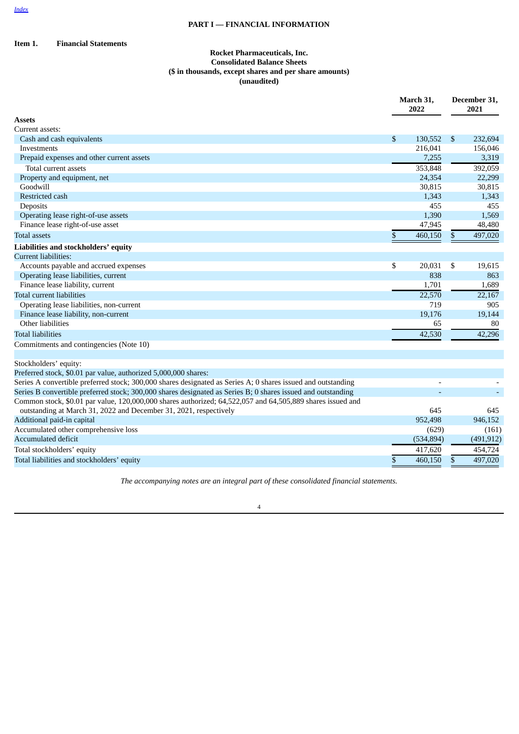# **PART I — FINANCIAL INFORMATION**

# <span id="page-3-0"></span>**Item 1. Financial Statements**

# **Rocket Pharmaceuticals, Inc. Consolidated Balance Sheets (\$ in thousands, except shares and per share amounts) (unaudited)**

|                                                                                                                                                                                 |    | March 31,<br>2022 |    | December 31,<br>2021 |  |
|---------------------------------------------------------------------------------------------------------------------------------------------------------------------------------|----|-------------------|----|----------------------|--|
| <b>Assets</b>                                                                                                                                                                   |    |                   |    |                      |  |
| Current assets:                                                                                                                                                                 |    |                   |    |                      |  |
| Cash and cash equivalents                                                                                                                                                       | \$ | 130,552           | \$ | 232,694              |  |
| Investments                                                                                                                                                                     |    | 216,041           |    | 156,046              |  |
| Prepaid expenses and other current assets                                                                                                                                       |    | 7,255             |    | 3,319                |  |
| Total current assets                                                                                                                                                            |    | 353,848           |    | 392,059              |  |
| Property and equipment, net                                                                                                                                                     |    | 24,354            |    | 22,299               |  |
| Goodwill                                                                                                                                                                        |    | 30,815            |    | 30,815               |  |
| Restricted cash                                                                                                                                                                 |    | 1,343             |    | 1,343                |  |
| Deposits                                                                                                                                                                        |    | 455               |    | 455                  |  |
| Operating lease right-of-use assets                                                                                                                                             |    | 1,390             |    | 1,569                |  |
| Finance lease right-of-use asset                                                                                                                                                |    | 47,945            |    | 48,480               |  |
| <b>Total assets</b>                                                                                                                                                             | \$ | 460,150           | \$ | 497,020              |  |
| Liabilities and stockholders' equity                                                                                                                                            |    |                   |    |                      |  |
| <b>Current liabilities:</b>                                                                                                                                                     |    |                   |    |                      |  |
| Accounts payable and accrued expenses                                                                                                                                           | \$ | 20,031            | \$ | 19,615               |  |
| Operating lease liabilities, current                                                                                                                                            |    | 838               |    | 863                  |  |
| Finance lease liability, current                                                                                                                                                |    | 1,701             |    | 1,689                |  |
| <b>Total current liabilities</b>                                                                                                                                                |    | 22,570            |    | 22,167               |  |
| Operating lease liabilities, non-current                                                                                                                                        |    | 719               |    | 905                  |  |
| Finance lease liability, non-current                                                                                                                                            |    | 19,176            |    | 19,144               |  |
| Other liabilities                                                                                                                                                               |    | 65                |    | 80                   |  |
| <b>Total liabilities</b>                                                                                                                                                        |    | 42,530            |    | 42,296               |  |
| Commitments and contingencies (Note 10)                                                                                                                                         |    |                   |    |                      |  |
| Stockholders' equity:                                                                                                                                                           |    |                   |    |                      |  |
| Preferred stock, \$0.01 par value, authorized 5,000,000 shares:                                                                                                                 |    |                   |    |                      |  |
| Series A convertible preferred stock; 300,000 shares designated as Series A; 0 shares issued and outstanding                                                                    |    |                   |    |                      |  |
| Series B convertible preferred stock; 300,000 shares designated as Series B; 0 shares issued and outstanding                                                                    |    |                   |    |                      |  |
| Common stock, \$0.01 par value, 120,000,000 shares authorized; 64,522,057 and 64,505,889 shares issued and<br>outstanding at March 31, 2022 and December 31, 2021, respectively |    | 645               |    | 645                  |  |
| Additional paid-in capital                                                                                                                                                      |    | 952,498           |    | 946,152              |  |
| Accumulated other comprehensive loss                                                                                                                                            |    | (629)             |    | (161)                |  |
| <b>Accumulated deficit</b>                                                                                                                                                      |    | (534, 894)        |    | (491, 912)           |  |
| Total stockholders' equity                                                                                                                                                      |    | 417,620           |    | 454,724              |  |
| Total liabilities and stockholders' equity                                                                                                                                      | \$ | 460,150           | \$ | 497,020              |  |

*The accompanying notes are an integral part of these consolidated financial statements.*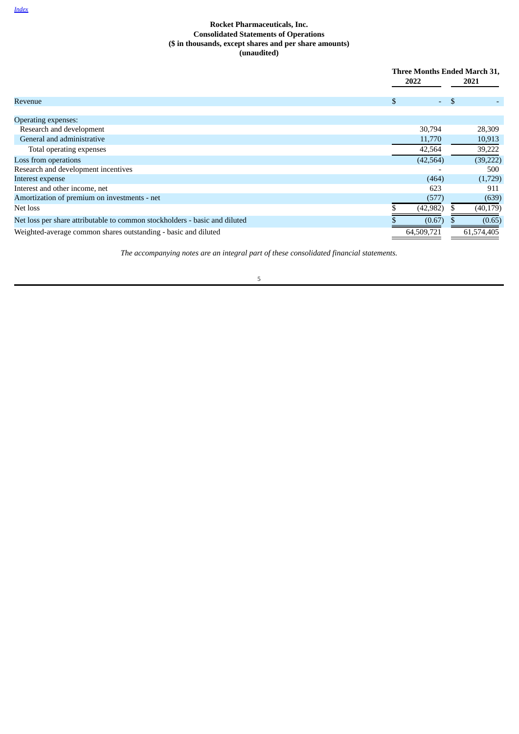# **Rocket Pharmaceuticals, Inc. Consolidated Statements of Operations (\$ in thousands, except shares and per share amounts) (unaudited)**

<span id="page-4-0"></span>

|                                                                            | 2022                   | Three Months Ended March 31,<br>2021 |            |
|----------------------------------------------------------------------------|------------------------|--------------------------------------|------------|
| Revenue                                                                    | \$<br>$\Delta \sim 10$ | - \$                                 |            |
| <b>Operating expenses:</b>                                                 |                        |                                      |            |
| Research and development                                                   | 30,794                 |                                      | 28,309     |
| General and administrative                                                 | 11,770                 |                                      | 10,913     |
| Total operating expenses                                                   | 42,564                 |                                      | 39,222     |
| Loss from operations                                                       | (42, 564)              |                                      | (39, 222)  |
| Research and development incentives                                        |                        |                                      | 500        |
| Interest expense                                                           | (464)                  |                                      | (1,729)    |
| Interest and other income, net                                             | 623                    |                                      | 911        |
| Amortization of premium on investments - net                               | (577)                  |                                      | (639)      |
| Net loss                                                                   | (42, 982)              |                                      | (40, 179)  |
| Net loss per share attributable to common stockholders - basic and diluted | (0.67)                 |                                      | (0.65)     |
| Weighted-average common shares outstanding - basic and diluted             | 64,509,721             |                                      | 61,574,405 |

*The accompanying notes are an integral part of these consolidated financial statements.*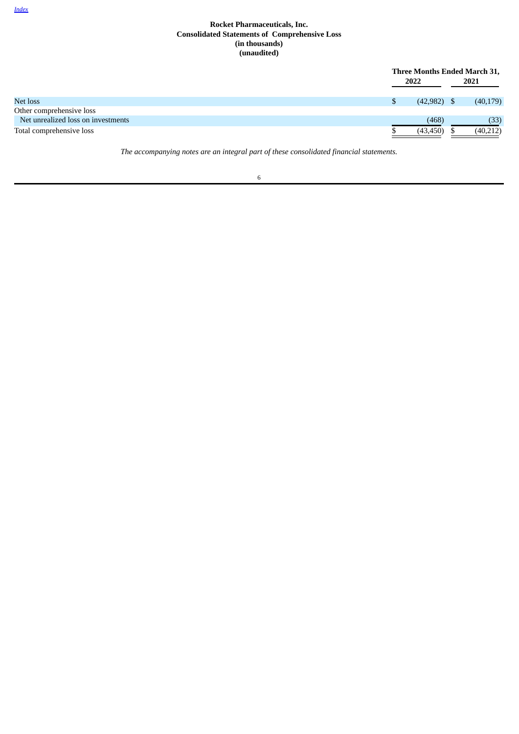# **Rocket Pharmaceuticals, Inc. Consolidated Statements of Comprehensive Loss (in thousands) (unaudited)**

<span id="page-5-0"></span>

|                                    | Three Months Ended March 31,<br>2022 |  | 2021      |
|------------------------------------|--------------------------------------|--|-----------|
|                                    |                                      |  |           |
| Net loss                           | $(42,982)$ \$                        |  | (40, 179) |
| Other comprehensive loss           |                                      |  |           |
| Net unrealized loss on investments | (468)                                |  | (33)      |
| Total comprehensive loss           | (43, 450)                            |  | (40,212)  |

*The accompanying notes are an integral part of these consolidated financial statements.*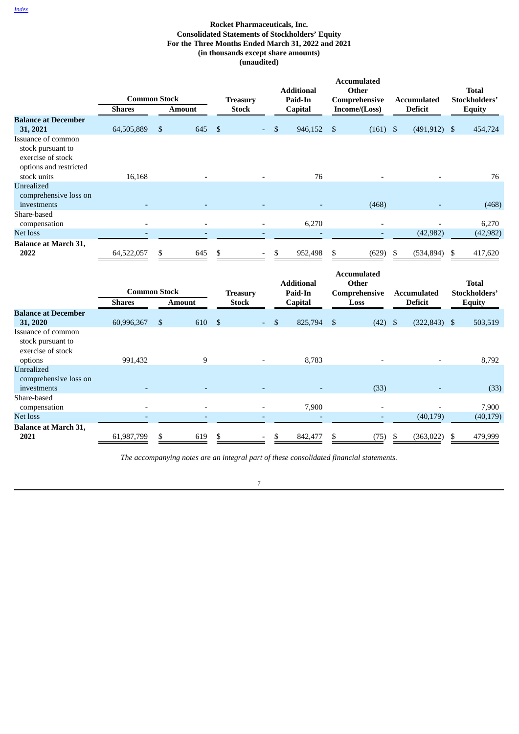# **Rocket Pharmaceuticals, Inc. Consolidated Statements of Stockholders' Equity For the Three Months Ended March 31, 2022 and 2021 (in thousands except share amounts) (unaudited)**

<span id="page-6-0"></span>

|                                                                                                       | <b>Common Stock</b> |               |                | <b>Treasury</b> | <b>Additional</b><br>Paid-In |                           | <b>Accumulated</b><br>Other<br>Comprehensive |    | <b>Accumulated</b> | <b>Total</b><br>Stockholders' |
|-------------------------------------------------------------------------------------------------------|---------------------|---------------|----------------|-----------------|------------------------------|---------------------------|----------------------------------------------|----|--------------------|-------------------------------|
|                                                                                                       | <b>Shares</b>       | <b>Amount</b> |                | <b>Stock</b>    | Capital                      |                           | Income/(Loss)                                |    | <b>Deficit</b>     | <b>Equity</b>                 |
| <b>Balance at December</b><br>31, 2021                                                                | 64,505,889          | \$<br>645     | $\mathfrak{s}$ |                 | \$<br>946,152                | \$                        | $(161)$ \$                                   |    | $(491, 912)$ \$    | 454,724                       |
| Issuance of common<br>stock pursuant to<br>exercise of stock<br>options and restricted<br>stock units | 16,168              |               |                |                 | 76                           |                           |                                              |    |                    | 76                            |
| Unrealized<br>comprehensive loss on<br>investments                                                    |                     |               |                |                 |                              |                           | (468)                                        |    |                    | (468)                         |
| Share-based<br>compensation                                                                           |                     |               |                |                 | 6,270                        |                           |                                              |    |                    | 6,270                         |
| Net loss                                                                                              |                     |               |                |                 |                              |                           |                                              |    | (42, 982)          | (42, 982)                     |
| <b>Balance at March 31,</b><br>2022                                                                   | 64,522,057          | \$<br>645     | S              |                 | \$<br>952,498                | \$                        | (629)                                        | S  | (534, 894)         | \$<br>417,620                 |
|                                                                                                       | <b>Common Stock</b> |               |                | <b>Treasury</b> | <b>Additional</b><br>Paid-In |                           | <b>Accumulated</b><br>Other<br>Comprehensive |    | <b>Accumulated</b> | <b>Total</b><br>Stockholders' |
|                                                                                                       | <b>Shares</b>       | <b>Amount</b> |                | <b>Stock</b>    | Capital                      |                           | Loss                                         |    | <b>Deficit</b>     | <b>Equity</b>                 |
| <b>Balance at December</b><br>31, 2020                                                                | 60,996,367          | \$<br>610     | $\mathbf S$    |                 | \$<br>825,794                | $\boldsymbol{\mathsf{S}}$ | $(42)$ \$                                    |    | $(322, 843)$ \$    | 503,519                       |
| Issuance of common<br>stock pursuant to<br>exercise of stock<br>options                               | 991,432             | $9\,$         |                |                 | 8,783                        |                           |                                              |    |                    | 8,792                         |
| Unrealized<br>comprehensive loss on<br>investments                                                    |                     |               |                |                 |                              |                           | (33)                                         |    |                    | (33)                          |
| Share-based<br>compensation                                                                           |                     |               |                |                 | 7,900                        |                           | $\overline{\phantom{a}}$                     |    |                    | 7,900                         |
| Net loss                                                                                              |                     |               |                |                 |                              |                           | $\overline{a}$                               |    | (40, 179)          | (40, 179)                     |
| <b>Balance at March 31,</b><br>2021                                                                   | 61,987,799          | \$<br>619     | \$             |                 | \$<br>842,477                | \$                        | (75)                                         | \$ | (363, 022)         | \$<br>479,999                 |

*The accompanying notes are an integral part of these consolidated financial statements.*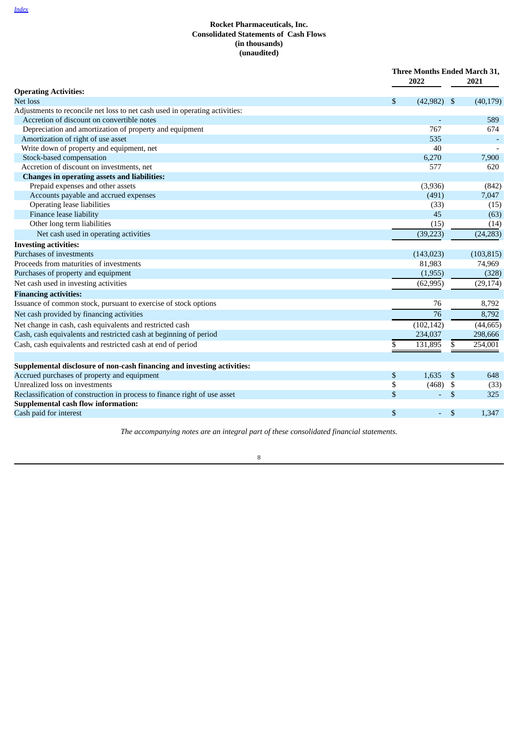<span id="page-7-0"></span>

|                                                                                                                        | 2022            | Three Months Ended March 31, |          |             |
|------------------------------------------------------------------------------------------------------------------------|-----------------|------------------------------|----------|-------------|
| <b>Operating Activities:</b>                                                                                           |                 |                              |          |             |
| Net loss                                                                                                               | \$<br>(42, 982) |                              | \$       | (40, 179)   |
| Adjustments to reconcile net loss to net cash used in operating activities:                                            |                 |                              |          |             |
| Accretion of discount on convertible notes                                                                             |                 |                              |          | 589         |
| Depreciation and amortization of property and equipment                                                                |                 | 767                          |          | 674         |
| Amortization of right of use asset                                                                                     |                 | 535                          |          |             |
| Write down of property and equipment, net                                                                              |                 | 40                           |          |             |
| Stock-based compensation                                                                                               | 6,270           |                              |          | 7,900       |
| Accretion of discount on investments, net                                                                              |                 | 577                          |          | 620         |
| <b>Changes in operating assets and liabilities:</b>                                                                    |                 |                              |          |             |
| Prepaid expenses and other assets                                                                                      | (3,936)         |                              |          | (842)       |
| Accounts payable and accrued expenses                                                                                  |                 | (491)                        |          | 7,047       |
| Operating lease liabilities                                                                                            |                 | (33)                         |          | (15)        |
| Finance lease liability                                                                                                |                 | 45                           |          | (63)        |
| Other long term liabilities                                                                                            |                 | (15)                         |          | (14)        |
| Net cash used in operating activities                                                                                  | (39, 223)       |                              |          | (24, 283)   |
| <b>Investing activities:</b>                                                                                           |                 |                              |          |             |
| Purchases of investments                                                                                               | (143, 023)      |                              |          | (103, 815)  |
| Proceeds from maturities of investments                                                                                | 81,983          |                              |          | 74,969      |
| Purchases of property and equipment                                                                                    | (1,955)         |                              |          | (328)       |
| Net cash used in investing activities                                                                                  | (62, 995)       |                              |          | (29, 174)   |
| <b>Financing activities:</b>                                                                                           |                 |                              |          |             |
| Issuance of common stock, pursuant to exercise of stock options                                                        |                 | 76                           |          | 8,792       |
| Net cash provided by financing activities                                                                              |                 | 76                           |          | 8,792       |
| Net change in cash, cash equivalents and restricted cash                                                               | (102, 142)      |                              |          | (44, 665)   |
| Cash, cash equivalents and restricted cash at beginning of period                                                      | 234,037         |                              |          | 298,666     |
| Cash, cash equivalents and restricted cash at end of period                                                            | 131,895<br>\$   |                              | \$       | 254,001     |
|                                                                                                                        |                 |                              |          |             |
| Supplemental disclosure of non-cash financing and investing activities:<br>Accrued purchases of property and equipment | 1,635           |                              | -\$      | 648         |
| Unrealized loss on investments                                                                                         | \$              |                              |          |             |
| Reclassification of construction in process to finance right of use asset                                              | \$<br>\$        | (468)<br>Ξ                   | \$<br>\$ | (33)<br>325 |
| <b>Supplemental cash flow information:</b>                                                                             |                 |                              |          |             |
| Cash paid for interest                                                                                                 | \$              | ٠                            | \$       | 1,347       |
|                                                                                                                        |                 |                              |          |             |

*The accompanying notes are an integral part of these consolidated financial statements.*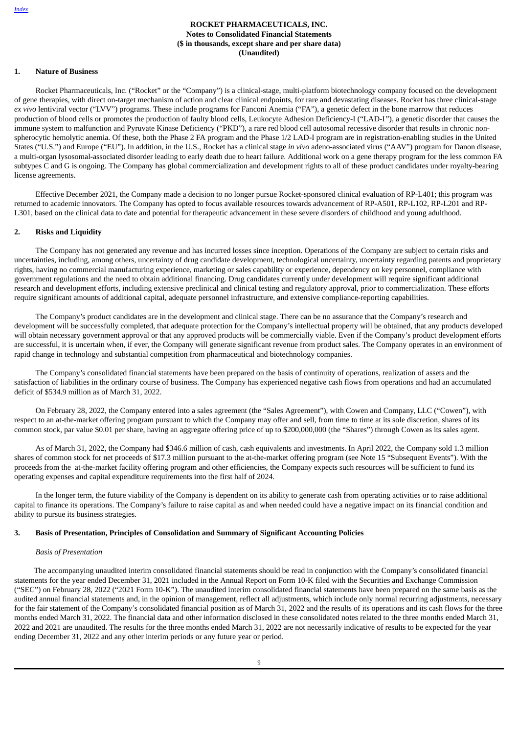# **ROCKET PHARMACEUTICALS, INC. Notes to Consolidated Financial Statements (\$ in thousands, except share and per share data) (Unaudited)**

# <span id="page-8-0"></span>**1. Nature of Business**

Rocket Pharmaceuticals, Inc. ("Rocket" or the "Company") is a clinical-stage, multi-platform biotechnology company focused on the development of gene therapies, with direct on-target mechanism of action and clear clinical endpoints, for rare and devastating diseases. Rocket has three clinical-stage *ex vivo* lentiviral vector ("LVV") programs. These include programs for Fanconi Anemia ("FA"), a genetic defect in the bone marrow that reduces production of blood cells or promotes the production of faulty blood cells, Leukocyte Adhesion Deficiency-I ("LAD-I*"*), a genetic disorder that causes the immune system to malfunction and Pyruvate Kinase Deficiency ("PKD"), a rare red blood cell autosomal recessive disorder that results in chronic nonspherocytic hemolytic anemia. Of these, both the Phase 2 FA program and the Phase 1/2 LAD-I program are in registration-enabling studies in the United States ("U.S.") and Europe ("EU"). In addition, in the U.S., Rocket has a clinical stage *in vivo* adeno-associated virus ("AAV") program for Danon disease, a multi-organ lysosomal-associated disorder leading to early death due to heart failure. Additional work on a gene therapy program for the less common FA subtypes C and G is ongoing. The Company has global commercialization and development rights to all of these product candidates under royalty-bearing license agreements.

Effective December 2021, the Company made a decision to no longer pursue Rocket-sponsored clinical evaluation of RP-L401; this program was returned to academic innovators. The Company has opted to focus available resources towards advancement of RP-A501, RP-L102, RP-L201 and RP-L301, based on the clinical data to date and potential for therapeutic advancement in these severe disorders of childhood and young adulthood.

#### **2. Risks and Liquidity**

The Company has not generated any revenue and has incurred losses since inception. Operations of the Company are subject to certain risks and uncertainties, including, among others, uncertainty of drug candidate development, technological uncertainty, uncertainty regarding patents and proprietary rights, having no commercial manufacturing experience, marketing or sales capability or experience, dependency on key personnel, compliance with government regulations and the need to obtain additional financing. Drug candidates currently under development will require significant additional research and development efforts, including extensive preclinical and clinical testing and regulatory approval, prior to commercialization. These efforts require significant amounts of additional capital, adequate personnel infrastructure, and extensive compliance-reporting capabilities.

The Company's product candidates are in the development and clinical stage. There can be no assurance that the Company's research and development will be successfully completed, that adequate protection for the Company's intellectual property will be obtained, that any products developed will obtain necessary government approval or that any approved products will be commercially viable. Even if the Company's product development efforts are successful, it is uncertain when, if ever, the Company will generate significant revenue from product sales. The Company operates in an environment of rapid change in technology and substantial competition from pharmaceutical and biotechnology companies.

The Company's consolidated financial statements have been prepared on the basis of continuity of operations, realization of assets and the satisfaction of liabilities in the ordinary course of business. The Company has experienced negative cash flows from operations and had an accumulated deficit of \$534.9 million as of March 31, 2022.

On February 28, 2022, the Company entered into a sales agreement (the "Sales Agreement"), with Cowen and Company, LLC ("Cowen"), with respect to an at-the-market offering program pursuant to which the Company may offer and sell, from time to time at its sole discretion, shares of its common stock, par value \$0.01 per share, having an aggregate offering price of up to \$200,000,000 (the "Shares") through Cowen as its sales agent.

As of March 31, 2022, the Company had \$346.6 million of cash, cash equivalents and investments. In April 2022, the Company sold 1.3 million shares of common stock for net proceeds of \$17.3 million pursuant to the at-the-market offering program (see Note 15 "Subsequent Events"). With the proceeds from the at-the-market facility offering program and other efficiencies, the Company expects such resources will be sufficient to fund its operating expenses and capital expenditure requirements into the first half of 2024.

In the longer term, the future viability of the Company is dependent on its ability to generate cash from operating activities or to raise additional capital to finance its operations. The Company's failure to raise capital as and when needed could have a negative impact on its financial condition and ability to pursue its business strategies.

# **3. Basis of Presentation, Principles of Consolidation and Summary of Significant Accounting Policies**

#### *Basis of Presentation*

The accompanying unaudited interim consolidated financial statements should be read in conjunction with the Company's consolidated financial statements for the year ended December 31, 2021 included in the Annual Report on Form 10-K filed with the Securities and Exchange Commission ("SEC") on February 28, 2022 ("2021 Form 10-K"). The unaudited interim consolidated financial statements have been prepared on the same basis as the audited annual financial statements and, in the opinion of management, reflect all adjustments, which include only normal recurring adjustments, necessary for the fair statement of the Company's consolidated financial position as of March 31, 2022 and the results of its operations and its cash flows for the three months ended March 31, 2022. The financial data and other information disclosed in these consolidated notes related to the three months ended March 31, 2022 and 2021 are unaudited. The results for the three months ended March 31, 2022 are not necessarily indicative of results to be expected for the year ending December 31, 2022 and any other interim periods or any future year or period.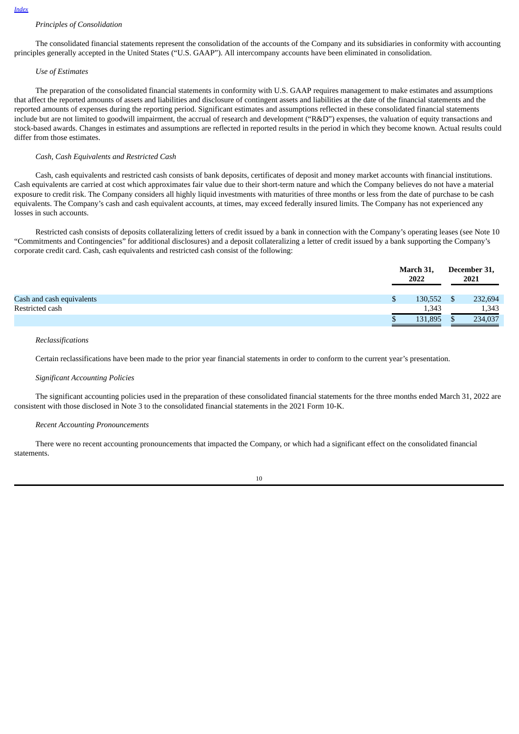# *Principles of Consolidation*

The consolidated financial statements represent the consolidation of the accounts of the Company and its subsidiaries in conformity with accounting principles generally accepted in the United States ("U.S. GAAP"). All intercompany accounts have been eliminated in consolidation.

# *Use of Estimates*

The preparation of the consolidated financial statements in conformity with U.S. GAAP requires management to make estimates and assumptions that affect the reported amounts of assets and liabilities and disclosure of contingent assets and liabilities at the date of the financial statements and the reported amounts of expenses during the reporting period. Significant estimates and assumptions reflected in these consolidated financial statements include but are not limited to goodwill impairment, the accrual of research and development ("R&D") expenses, the valuation of equity transactions and stock-based awards. Changes in estimates and assumptions are reflected in reported results in the period in which they become known. Actual results could differ from those estimates.

#### *Cash, Cash Equivalents and Restricted Cash*

Cash, cash equivalents and restricted cash consists of bank deposits, certificates of deposit and money market accounts with financial institutions. Cash equivalents are carried at cost which approximates fair value due to their short-term nature and which the Company believes do not have a material exposure to credit risk. The Company considers all highly liquid investments with maturities of three months or less from the date of purchase to be cash equivalents. The Company's cash and cash equivalent accounts, at times, may exceed federally insured limits. The Company has not experienced any losses in such accounts.

Restricted cash consists of deposits collateralizing letters of credit issued by a bank in connection with the Company's operating leases (see Note 10 "Commitments and Contingencies" for additional disclosures) and a deposit collateralizing a letter of credit issued by a bank supporting the Company's corporate credit card. Cash, cash equivalents and restricted cash consist of the following:

|                           | March 31,<br>2022 |     | December 31,<br>2021 |
|---------------------------|-------------------|-----|----------------------|
| Cash and cash equivalents | 130,552           | \$. | 232,694              |
| Restricted cash           | 1,343             |     | 1,343                |
|                           | 131,895           |     | 234,037              |

# *Reclassifications*

Certain reclassifications have been made to the prior year financial statements in order to conform to the current year's presentation.

#### *Significant Accounting Policies*

The significant accounting policies used in the preparation of these consolidated financial statements for the three months ended March 31, 2022 are consistent with those disclosed in Note 3 to the consolidated financial statements in the 2021 Form 10-K.

#### *Recent Accounting Pronouncements*

There were no recent accounting pronouncements that impacted the Company, or which had a significant effect on the consolidated financial statements.

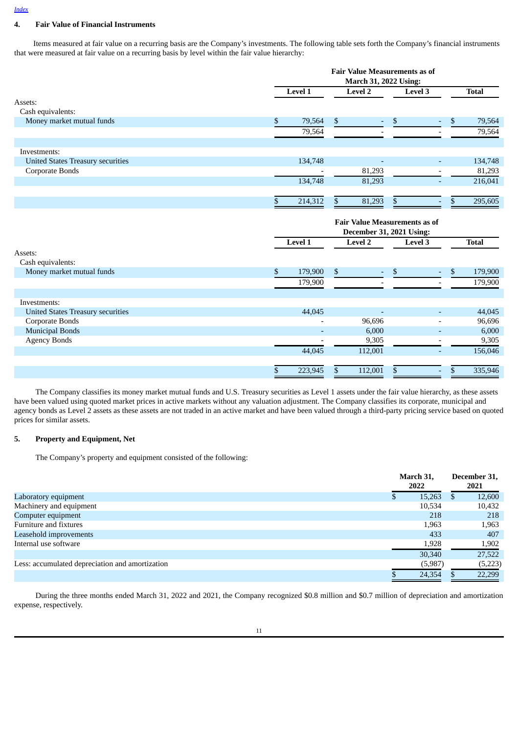# **4. Fair Value of Financial Instruments**

Items measured at fair value on a recurring basis are the Company's investments. The following table sets forth the Company's financial instruments that were measured at fair value on a recurring basis by level within the fair value hierarchy:

|                                          | <b>Fair Value Measurements as of</b><br>March 31, 2022 Using: |                                      |                          |                          |               |              |
|------------------------------------------|---------------------------------------------------------------|--------------------------------------|--------------------------|--------------------------|---------------|--------------|
|                                          | Level 1                                                       | <b>Level 2</b>                       |                          | <b>Level 3</b>           |               | <b>Total</b> |
| Assets:                                  |                                                               |                                      |                          |                          |               |              |
| Cash equivalents:                        |                                                               |                                      |                          |                          |               |              |
| Money market mutual funds                | \$<br>79,564                                                  | \$                                   | \$                       |                          | \$            | 79,564       |
|                                          | 79,564                                                        |                                      |                          |                          |               | 79,564       |
| Investments:                             |                                                               |                                      |                          |                          |               |              |
|                                          |                                                               |                                      |                          |                          |               |              |
| <b>United States Treasury securities</b> | 134,748                                                       |                                      |                          | ٠                        |               | 134,748      |
| Corporate Bonds                          |                                                               | 81,293                               |                          |                          |               | 81,293       |
|                                          | 134,748                                                       | 81,293                               |                          |                          |               | 216,041      |
|                                          | \$<br>214,312                                                 | \$                                   | 81,293<br>\$             |                          | <sup>\$</sup> | 295,605      |
|                                          |                                                               |                                      |                          |                          |               |              |
|                                          |                                                               | <b>Fair Value Measurements as of</b> |                          |                          |               |              |
|                                          |                                                               |                                      | December 31, 2021 Using: |                          |               |              |
|                                          | Level 1                                                       | <b>Level 2</b>                       |                          | Level 3                  |               | <b>Total</b> |
| Assets:                                  |                                                               |                                      |                          |                          |               |              |
| Cash equivalents:                        |                                                               |                                      |                          |                          |               |              |
| Money market mutual funds                | \$<br>179,900                                                 | \$                                   | \$                       |                          | \$            | 179,900      |
|                                          | 179,900                                                       |                                      | $\overline{a}$           | $\overline{a}$           |               | 179,900      |
|                                          |                                                               |                                      |                          |                          |               |              |
| Investments:                             |                                                               |                                      |                          |                          |               |              |
| <b>United States Treasury securities</b> | 44,045                                                        |                                      |                          |                          |               | 44,045       |
| Corporate Bonds                          |                                                               |                                      | 96,696                   | $\overline{\phantom{a}}$ |               | 96,696       |
| <b>Municipal Bonds</b>                   |                                                               |                                      | 6,000                    | $\overline{\phantom{a}}$ |               | 6,000        |
| <b>Agency Bonds</b>                      |                                                               |                                      | 9,305                    |                          |               | 9,305        |
|                                          | 44,045                                                        | 112,001                              |                          |                          |               | 156,046      |
|                                          | \$<br>223,945                                                 | 112,001<br>\$                        | \$                       | $\overline{\phantom{a}}$ | \$            | 335,946      |

The Company classifies its money market mutual funds and U.S. Treasury securities as Level 1 assets under the fair value hierarchy, as these assets have been valued using quoted market prices in active markets without any valuation adjustment. The Company classifies its corporate, municipal and agency bonds as Level 2 assets as these assets are not traded in an active market and have been valued through a third-party pricing service based on quoted prices for similar assets.

# **5. Property and Equipment, Net**

The Company's property and equipment consisted of the following:

|                                                 | March 31,<br>2022 | December 31,<br>2021 |
|-------------------------------------------------|-------------------|----------------------|
| Laboratory equipment                            | 15,263            | 12,600<br>D          |
| Machinery and equipment                         | 10,534            | 10,432               |
| Computer equipment                              | 218               | 218                  |
| Furniture and fixtures                          | 1,963             | 1,963                |
| Leasehold improvements                          | 433               | 407                  |
| Internal use software                           | 1,928             | 1,902                |
|                                                 | 30,340            | 27,522               |
| Less: accumulated depreciation and amortization | (5,987)           | (5,223)              |
|                                                 | 24,354            | 22,299               |

During the three months ended March 31, 2022 and 2021, the Company recognized \$0.8 million and \$0.7 million of depreciation and amortization expense, respectively.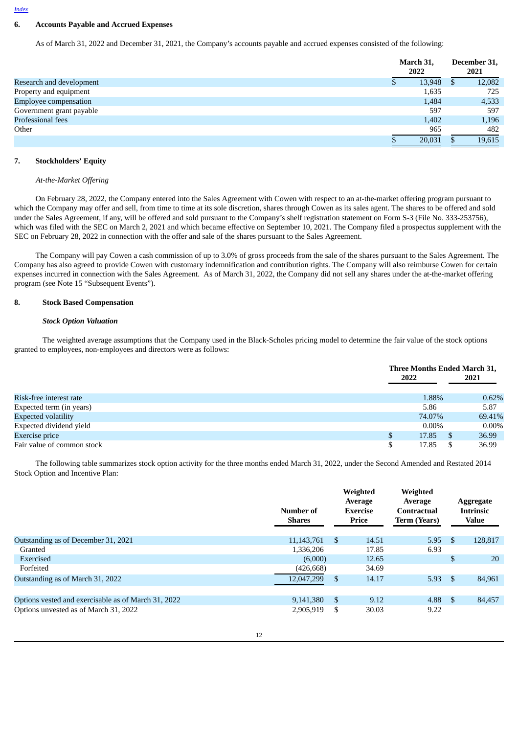# **6. Accounts Payable and Accrued Expenses**

As of March 31, 2022 and December 31, 2021, the Company's accounts payable and accrued expenses consisted of the following:

|                              | March 31,<br>2022 |     | December 31,<br>2021 |
|------------------------------|-------------------|-----|----------------------|
| Research and development     | 13,948            | \$. | 12,082               |
| Property and equipment       | 1,635             |     | 725                  |
| <b>Employee compensation</b> | 1,484             |     | 4,533                |
| Government grant payable     | 597               |     | 597                  |
| Professional fees            | 1,402             |     | 1,196                |
| Other                        | 965               |     | 482                  |
|                              | 20,031            |     | 19,615               |

# **7. Stockholders' Equity**

#### *At-the-Market Offering*

On February 28, 2022, the Company entered into the Sales Agreement with Cowen with respect to an at-the-market offering program pursuant to which the Company may offer and sell, from time to time at its sole discretion, shares through Cowen as its sales agent. The shares to be offered and sold under the Sales Agreement, if any, will be offered and sold pursuant to the Company's shelf registration statement on Form S-3 (File No. 333-253756), which was filed with the SEC on March 2, 2021 and which became effective on September 10, 2021. The Company filed a prospectus supplement with the SEC on February 28, 2022 in connection with the offer and sale of the shares pursuant to the Sales Agreement.

The Company will pay Cowen a cash commission of up to 3.0% of gross proceeds from the sale of the shares pursuant to the Sales Agreement. The Company has also agreed to provide Cowen with customary indemnification and contribution rights. The Company will also reimburse Cowen for certain expenses incurred in connection with the Sales Agreement. As of March 31, 2022, the Company did not sell any shares under the at-the-market offering program (see Note 15 "Subsequent Events").

# **8. Stock Based Compensation**

# *Stock Option Valuation*

The weighted average assumptions that the Company used in the Black-Scholes pricing model to determine the fair value of the stock options granted to employees, non-employees and directors were as follows:

|                            |      | Three Months Ended March 31, |    |          |  |  |
|----------------------------|------|------------------------------|----|----------|--|--|
|                            | 2022 |                              |    | 2021     |  |  |
|                            |      |                              |    |          |  |  |
| Risk-free interest rate    |      | 1.88%                        |    | 0.62%    |  |  |
| Expected term (in years)   |      | 5.86                         |    | 5.87     |  |  |
| <b>Expected volatility</b> |      | 74.07%                       |    | 69.41%   |  |  |
| Expected dividend yield    |      | $0.00\%$                     |    | $0.00\%$ |  |  |
| Exercise price             |      | 17.85                        | -S | 36.99    |  |  |
| Fair value of common stock |      | 17.85                        |    | 36.99    |  |  |

The following table summarizes stock option activity for the three months ended March 31, 2022, under the Second Amended and Restated 2014 Stock Option and Incentive Plan:

|                                                     | Number of<br><b>Shares</b> | Weighted<br>Average<br><b>Exercise</b><br>Price | Weighted<br>Average<br><b>Contractual</b><br><b>Term (Years)</b> |                | Aggregate<br><b>Intrinsic</b><br><b>Value</b> |
|-----------------------------------------------------|----------------------------|-------------------------------------------------|------------------------------------------------------------------|----------------|-----------------------------------------------|
| Outstanding as of December 31, 2021                 | 11, 143, 761               | \$<br>14.51                                     | 5.95                                                             | $\mathfrak{L}$ | 128,817                                       |
|                                                     |                            |                                                 |                                                                  |                |                                               |
| Granted                                             | 1,336,206                  | 17.85                                           | 6.93                                                             |                |                                               |
| Exercised                                           | (6,000)                    | 12.65                                           |                                                                  | \$             | 20                                            |
| Forfeited                                           | (426, 668)                 | 34.69                                           |                                                                  |                |                                               |
| Outstanding as of March 31, 2022                    | 12,047,299                 | \$<br>14.17                                     | 5.93                                                             | \$             | 84.961                                        |
|                                                     |                            |                                                 |                                                                  |                |                                               |
| Options vested and exercisable as of March 31, 2022 | 9,141,380                  | \$<br>9.12                                      | 4.88                                                             | \$             | 84,457                                        |
| Options unvested as of March 31, 2022               | 2,905,919                  | \$<br>30.03                                     | 9.22                                                             |                |                                               |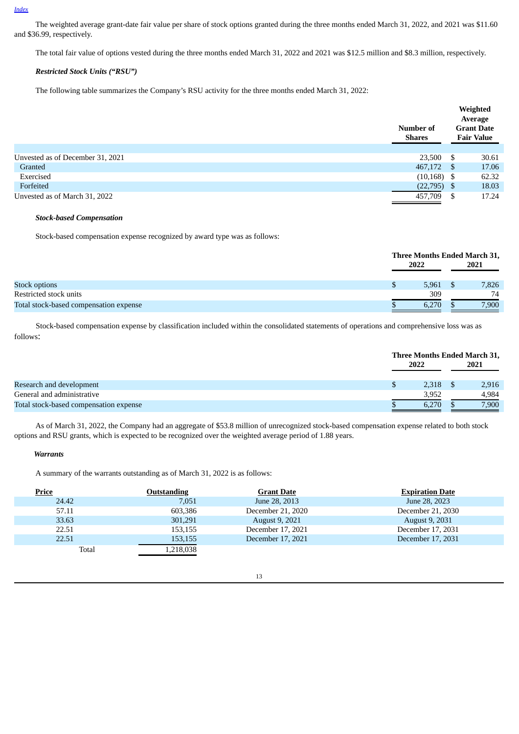The weighted average grant-date fair value per share of stock options granted during the three months ended March 31, 2022, and 2021 was \$11.60 and \$36.99, respectively.

The total fair value of options vested during the three months ended March 31, 2022 and 2021 was \$12.5 million and \$8.3 million, respectively.

# *Restricted Stock Units ("RSU")*

The following table summarizes the Company's RSU activity for the three months ended March 31, 2022:

|                                  | Number of<br><b>Shares</b> |      | Weighted<br>Average<br><b>Grant Date</b><br><b>Fair Value</b> |
|----------------------------------|----------------------------|------|---------------------------------------------------------------|
| Unvested as of December 31, 2021 | 23,500                     | \$   | 30.61                                                         |
| Granted                          | 467,172                    | S    | 17.06                                                         |
| Exercised                        | (10, 168)                  | - \$ | 62.32                                                         |
| Forfeited                        | (22, 795)                  | \$.  | 18.03                                                         |
| Unvested as of March 31, 2022    | 457,709                    | S    | 17.24                                                         |

#### *Stock-based Compensation*

Stock-based compensation expense recognized by award type was as follows:

|                                        |   | Three Months Ended March 31, |  |       |  |
|----------------------------------------|---|------------------------------|--|-------|--|
|                                        |   | 2022                         |  | 2021  |  |
|                                        |   |                              |  |       |  |
| <b>Stock options</b>                   | ъ | 5,961                        |  | 7,826 |  |
| Restricted stock units                 |   | 309                          |  | 74    |  |
| Total stock-based compensation expense |   | 6,270                        |  | 7,900 |  |

Stock-based compensation expense by classification included within the consolidated statements of operations and comprehensive loss was as follows:

|                                        | Three Months Ended March 31, |  |       |
|----------------------------------------|------------------------------|--|-------|
|                                        | 2022                         |  | 2021  |
|                                        |                              |  |       |
| Research and development               | 2.318                        |  | 2,916 |
| General and administrative             | 3.952                        |  | 4.984 |
| Total stock-based compensation expense | 6,270                        |  | 7,900 |

As of March 31, 2022, the Company had an aggregate of \$53.8 million of unrecognized stock-based compensation expense related to both stock options and RSU grants, which is expected to be recognized over the weighted average period of 1.88 years.

#### *Warrants*

A summary of the warrants outstanding as of March 31, 2022 is as follows:

| <b>Price</b> | Outstanding | <b>Grant Date</b>     | <b>Expiration Date</b> |
|--------------|-------------|-----------------------|------------------------|
| 24.42        | 7,051       | June 28, 2013         | June 28, 2023          |
| 57.11        | 603.386     | December 21, 2020     | December 21, 2030      |
| 33.63        | 301,291     | <b>August 9, 2021</b> | August 9, 2031         |
| 22.51        | 153,155     | December 17, 2021     | December 17, 2031      |
| 22.51        | 153,155     | December 17, 2021     | December 17, 2031      |
| Total        | 1,218,038   |                       |                        |

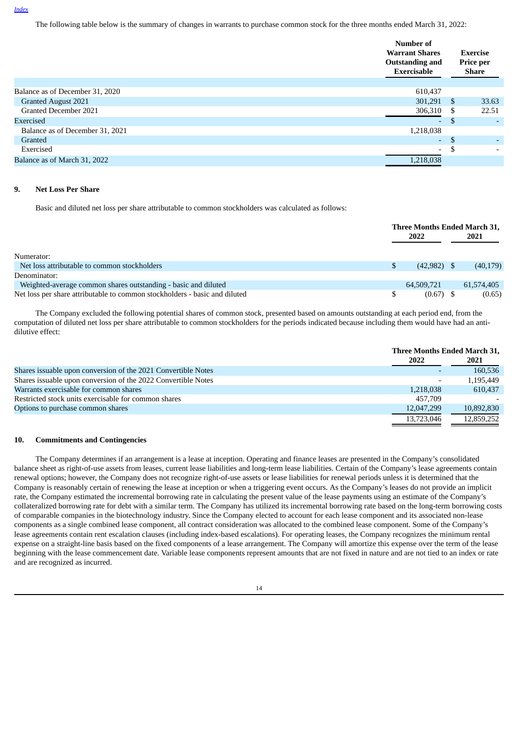The following table below is the summary of changes in warrants to purchase common stock for the three months ended March 31, 2022:

|                                 | Number of<br><b>Warrant Shares</b><br><b>Outstanding and</b><br>Exercisable |              | Exercise<br>Price per<br>Share |
|---------------------------------|-----------------------------------------------------------------------------|--------------|--------------------------------|
|                                 |                                                                             |              |                                |
| Balance as of December 31, 2020 | 610,437                                                                     |              |                                |
| <b>Granted August 2021</b>      | 301,291                                                                     | -S           | 33.63                          |
| Granted December 2021           | 306,310                                                                     | S            | 22.51                          |
| Exercised                       | $\overline{\phantom{a}}$                                                    | -S           | $\overline{\phantom{0}}$       |
| Balance as of December 31, 2021 | 1,218,038                                                                   |              |                                |
| Granted                         | ٠                                                                           | $\mathbf{S}$ |                                |
| Exercised                       | $\overline{\phantom{a}}$                                                    | S            | $\overline{\phantom{0}}$       |
| Balance as of March 31, 2022    | 1,218,038                                                                   |              |                                |
|                                 |                                                                             |              |                                |

## **9. Net Loss Per Share**

Basic and diluted net loss per share attributable to common stockholders was calculated as follows:

|                                                                            |      | Three Months Ended March 31, |      |            |
|----------------------------------------------------------------------------|------|------------------------------|------|------------|
|                                                                            | 2022 |                              | 2021 |            |
| Numerator:                                                                 |      |                              |      |            |
| Net loss attributable to common stockholders                               |      | $(42,982)$ \$                |      | (40, 179)  |
| Denominator:                                                               |      |                              |      |            |
| Weighted-average common shares outstanding - basic and diluted             |      | 64,509,721                   |      | 61,574,405 |
| Net loss per share attributable to common stockholders - basic and diluted |      | $(0.67)$ \$                  |      | (0.65)     |

The Company excluded the following potential shares of common stock, presented based on amounts outstanding at each period end, from the computation of diluted net loss per share attributable to common stockholders for the periods indicated because including them would have had an antidilutive effect:

|                                                               |            | Three Months Ended March 31, |  |  |
|---------------------------------------------------------------|------------|------------------------------|--|--|
|                                                               | 2022       | 2021                         |  |  |
| Shares issuable upon conversion of the 2021 Convertible Notes | -          | 160,536                      |  |  |
| Shares issuable upon conversion of the 2022 Convertible Notes | ۰          | 1,195,449                    |  |  |
| Warrants exercisable for common shares                        | 1.218.038  | 610,437                      |  |  |
| Restricted stock units exercisable for common shares          | 457.709    |                              |  |  |
| Options to purchase common shares                             | 12,047,299 | 10,892,830                   |  |  |
|                                                               | 13,723,046 | 12,859,252                   |  |  |

#### **10. Commitments and Contingencies**

The Company determines if an arrangement is a lease at inception. Operating and finance leases are presented in the Company's consolidated balance sheet as right-of-use assets from leases, current lease liabilities and long-term lease liabilities. Certain of the Company's lease agreements contain renewal options; however, the Company does not recognize right-of-use assets or lease liabilities for renewal periods unless it is determined that the Company is reasonably certain of renewing the lease at inception or when a triggering event occurs. As the Company's leases do not provide an implicit rate, the Company estimated the incremental borrowing rate in calculating the present value of the lease payments using an estimate of the Company's collateralized borrowing rate for debt with a similar term. The Company has utilized its incremental borrowing rate based on the long-term borrowing costs of comparable companies in the biotechnology industry. Since the Company elected to account for each lease component and its associated non-lease components as a single combined lease component, all contract consideration was allocated to the combined lease component. Some of the Company's lease agreements contain rent escalation clauses (including index-based escalations). For operating leases, the Company recognizes the minimum rental expense on a straight-line basis based on the fixed components of a lease arrangement. The Company will amortize this expense over the term of the lease beginning with the lease commencement date. Variable lease components represent amounts that are not fixed in nature and are not tied to an index or rate and are recognized as incurred.

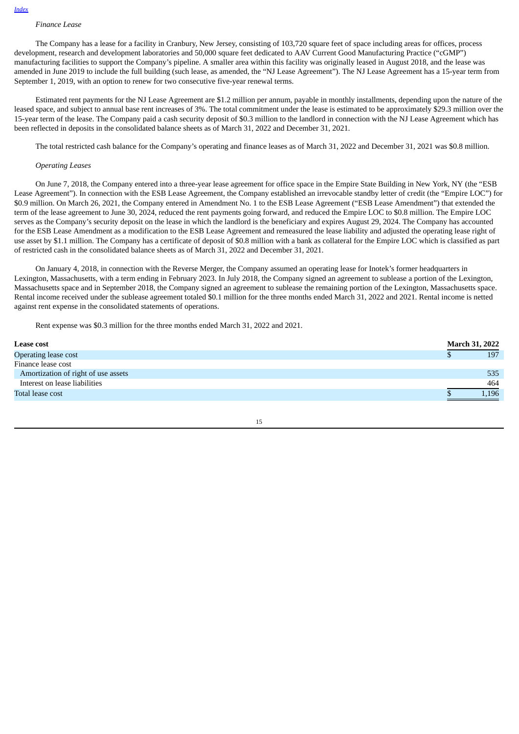# *Finance Lease*

The Company has a lease for a facility in Cranbury, New Jersey, consisting of 103,720 square feet of space including areas for offices, process development, research and development laboratories and 50,000 square feet dedicated to AAV Current Good Manufacturing Practice ("cGMP") manufacturing facilities to support the Company's pipeline. A smaller area within this facility was originally leased in August 2018, and the lease was amended in June 2019 to include the full building (such lease, as amended, the "NJ Lease Agreement"). The NJ Lease Agreement has a 15-year term from September 1, 2019, with an option to renew for two consecutive five-year renewal terms.

Estimated rent payments for the NJ Lease Agreement are \$1.2 million per annum, payable in monthly installments, depending upon the nature of the leased space, and subject to annual base rent increases of 3%. The total commitment under the lease is estimated to be approximately \$29.3 million over the 15-year term of the lease. The Company paid a cash security deposit of \$0.3 million to the landlord in connection with the NJ Lease Agreement which has been reflected in deposits in the consolidated balance sheets as of March 31, 2022 and December 31, 2021.

The total restricted cash balance for the Company's operating and finance leases as of March 31, 2022 and December 31, 2021 was \$0.8 million.

#### *Operating Leases*

On June 7, 2018, the Company entered into a three-year lease agreement for office space in the Empire State Building in New York, NY (the "ESB Lease Agreement"). In connection with the ESB Lease Agreement, the Company established an irrevocable standby letter of credit (the "Empire LOC") for \$0.9 million. On March 26, 2021, the Company entered in Amendment No. 1 to the ESB Lease Agreement ("ESB Lease Amendment") that extended the term of the lease agreement to June 30, 2024, reduced the rent payments going forward, and reduced the Empire LOC to \$0.8 million. The Empire LOC serves as the Company's security deposit on the lease in which the landlord is the beneficiary and expires August 29, 2024. The Company has accounted for the ESB Lease Amendment as a modification to the ESB Lease Agreement and remeasured the lease liability and adjusted the operating lease right of use asset by \$1.1 million. The Company has a certificate of deposit of \$0.8 million with a bank as collateral for the Empire LOC which is classified as part of restricted cash in the consolidated balance sheets as of March 31, 2022 and December 31, 2021.

On January 4, 2018, in connection with the Reverse Merger, the Company assumed an operating lease for Inotek's former headquarters in Lexington, Massachusetts, with a term ending in February 2023. In July 2018, the Company signed an agreement to sublease a portion of the Lexington, Massachusetts space and in September 2018, the Company signed an agreement to sublease the remaining portion of the Lexington, Massachusetts space. Rental income received under the sublease agreement totaled \$0.1 million for the three months ended March 31, 2022 and 2021. Rental income is netted against rent expense in the consolidated statements of operations.

Rent expense was \$0.3 million for the three months ended March 31, 2022 and 2021.

| <b>Lease cost</b>                   | <b>March 31, 2022</b> |
|-------------------------------------|-----------------------|
| Operating lease cost                | 197                   |
| Finance lease cost                  |                       |
| Amortization of right of use assets | 535                   |
| Interest on lease liabilities       | 464                   |
| Total lease cost                    | 1,196                 |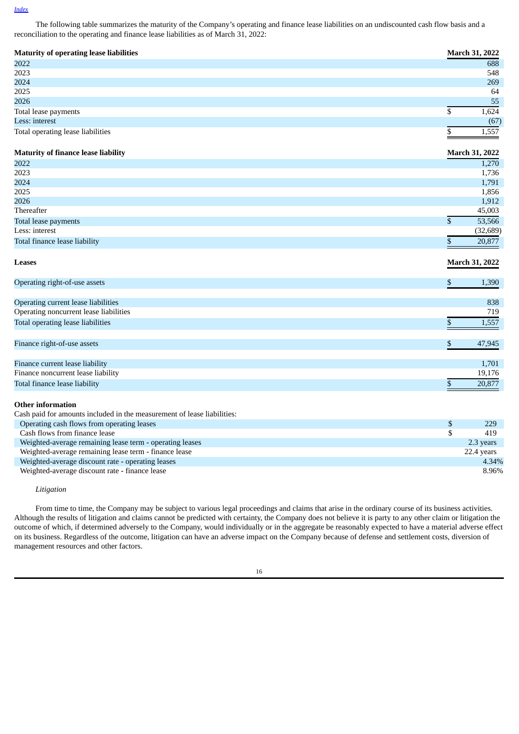The following table summarizes the maturity of the Company's operating and finance lease liabilities on an undiscounted cash flow basis and a reconciliation to the operating and finance lease liabilities as of March 31, 2022:

| <b>Maturity of operating lease liabilities</b> | <b>March 31, 2022</b> |
|------------------------------------------------|-----------------------|
| 2022                                           | 688                   |
| 2023                                           | 548                   |
| 2024                                           | 269                   |
| 2025                                           | 64                    |
| 2026                                           | 55                    |
| Total lease payments                           | 1,624                 |
| Less: interest                                 | (67)                  |
| Total operating lease liabilities              | 1,557                 |

# **Maturity of finance lease liability March 31, 2022**

| 1,270     |
|-----------|
| 1,736     |
| 1,791     |
| 1,856     |
| 1,912     |
| 45,003    |
| 53,566    |
| (32, 689) |
| 20,877    |
|           |

| <b>Leases</b>                          | <b>March 31, 2022</b> |
|----------------------------------------|-----------------------|
| Operating right-of-use assets          | 1,390                 |
| Operating current lease liabilities    | 838                   |
| Operating noncurrent lease liabilities | 719                   |
| Total operating lease liabilities      | 1,557                 |
| Finance right-of-use assets            | 47,945                |
| Finance current lease liability        | 1,701                 |
| Finance noncurrent lease liability     | 19,176                |
| Total finance lease liability          | 20,877                |

# **Other information**

| Cash paid for amounts included in the measurement of lease liabilities: |     |            |
|-------------------------------------------------------------------------|-----|------------|
| Operating cash flows from operating leases                              | \$. | 229        |
| Cash flows from finance lease                                           |     | 419        |
| Weighted-average remaining lease term - operating leases                |     | 2.3 years  |
| Weighted-average remaining lease term - finance lease                   |     | 22.4 years |
| Weighted-average discount rate - operating leases                       |     | 4.34%      |
| Weighted-average discount rate - finance lease                          |     | 8.96%      |

# *Litigation*

From time to time, the Company may be subject to various legal proceedings and claims that arise in the ordinary course of its business activities. Although the results of litigation and claims cannot be predicted with certainty, the Company does not believe it is party to any other claim or litigation the outcome of which, if determined adversely to the Company, would individually or in the aggregate be reasonably expected to have a material adverse effect on its business. Regardless of the outcome, litigation can have an adverse impact on the Company because of defense and settlement costs, diversion of management resources and other factors.

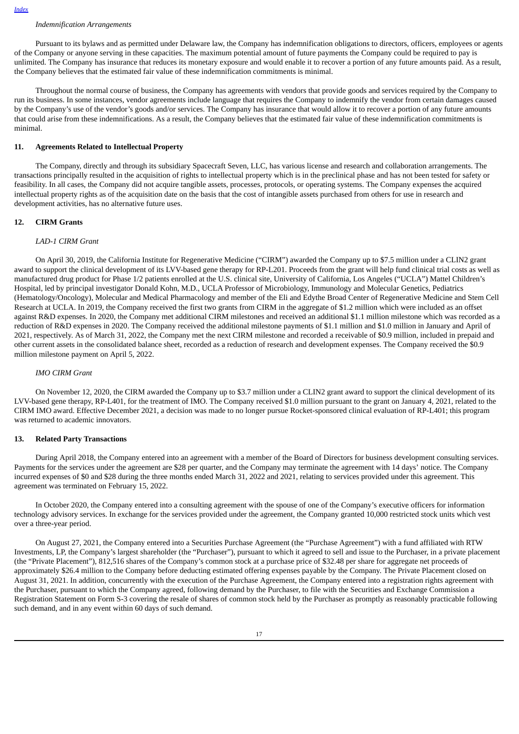# *Indemnification Arrangements*

Pursuant to its bylaws and as permitted under Delaware law, the Company has indemnification obligations to directors, officers, employees or agents of the Company or anyone serving in these capacities. The maximum potential amount of future payments the Company could be required to pay is unlimited. The Company has insurance that reduces its monetary exposure and would enable it to recover a portion of any future amounts paid. As a result, the Company believes that the estimated fair value of these indemnification commitments is minimal.

Throughout the normal course of business, the Company has agreements with vendors that provide goods and services required by the Company to run its business. In some instances, vendor agreements include language that requires the Company to indemnify the vendor from certain damages caused by the Company's use of the vendor's goods and/or services. The Company has insurance that would allow it to recover a portion of any future amounts that could arise from these indemnifications. As a result, the Company believes that the estimated fair value of these indemnification commitments is minimal.

# **11. Agreements Related to Intellectual Property**

The Company, directly and through its subsidiary Spacecraft Seven, LLC, has various license and research and collaboration arrangements. The transactions principally resulted in the acquisition of rights to intellectual property which is in the preclinical phase and has not been tested for safety or feasibility. In all cases, the Company did not acquire tangible assets, processes, protocols, or operating systems. The Company expenses the acquired intellectual property rights as of the acquisition date on the basis that the cost of intangible assets purchased from others for use in research and development activities, has no alternative future uses.

#### **12. CIRM Grants**

#### *LAD-1 CIRM Grant*

On April 30, 2019, the California Institute for Regenerative Medicine ("CIRM") awarded the Company up to \$7.5 million under a CLIN2 grant award to support the clinical development of its LVV-based gene therapy for RP-L201. Proceeds from the grant will help fund clinical trial costs as well as manufactured drug product for Phase 1/2 patients enrolled at the U.S. clinical site, University of California, Los Angeles ("UCLA") Mattel Children's Hospital, led by principal investigator Donald Kohn, M.D., UCLA Professor of Microbiology, Immunology and Molecular Genetics, Pediatrics (Hematology/Oncology), Molecular and Medical Pharmacology and member of the Eli and Edythe Broad Center of Regenerative Medicine and Stem Cell Research at UCLA. In 2019, the Company received the first two grants from CIRM in the aggregate of \$1.2 million which were included as an offset against R&D expenses. In 2020, the Company met additional CIRM milestones and received an additional \$1.1 million milestone which was recorded as a reduction of R&D expenses in 2020. The Company received the additional milestone payments of \$1.1 million and \$1.0 million in January and April of 2021, respectively. As of March 31, 2022, the Company met the next CIRM milestone and recorded a receivable of \$0.9 million, included in prepaid and other current assets in the consolidated balance sheet, recorded as a reduction of research and development expenses. The Company received the \$0.9 million milestone payment on April 5, 2022.

#### *IMO CIRM Grant*

On November 12, 2020, the CIRM awarded the Company up to \$3.7 million under a CLIN2 grant award to support the clinical development of its LVV-based gene therapy, RP-L401, for the treatment of IMO. The Company received \$1.0 million pursuant to the grant on January 4, 2021, related to the CIRM IMO award. Effective December 2021, a decision was made to no longer pursue Rocket-sponsored clinical evaluation of RP-L401; this program was returned to academic innovators.

#### **13. Related Party Transactions**

During April 2018, the Company entered into an agreement with a member of the Board of Directors for business development consulting services. Payments for the services under the agreement are \$28 per quarter, and the Company may terminate the agreement with 14 days' notice. The Company incurred expenses of \$0 and \$28 during the three months ended March 31, 2022 and 2021, relating to services provided under this agreement. This agreement was terminated on February 15, 2022.

In October 2020, the Company entered into a consulting agreement with the spouse of one of the Company's executive officers for information technology advisory services. In exchange for the services provided under the agreement, the Company granted 10,000 restricted stock units which vest over a three-year period.

On August 27, 2021, the Company entered into a Securities Purchase Agreement (the "Purchase Agreement") with a fund affiliated with RTW Investments, LP, the Company's largest shareholder (the "Purchaser"), pursuant to which it agreed to sell and issue to the Purchaser, in a private placement (the "Private Placement"), 812,516 shares of the Company's common stock at a purchase price of \$32.48 per share for aggregate net proceeds of approximately \$26.4 million to the Company before deducting estimated offering expenses payable by the Company. The Private Placement closed on August 31, 2021. In addition, concurrently with the execution of the Purchase Agreement, the Company entered into a registration rights agreement with the Purchaser, pursuant to which the Company agreed, following demand by the Purchaser, to file with the Securities and Exchange Commission a Registration Statement on Form S-3 covering the resale of shares of common stock held by the Purchaser as promptly as reasonably practicable following such demand, and in any event within 60 days of such demand.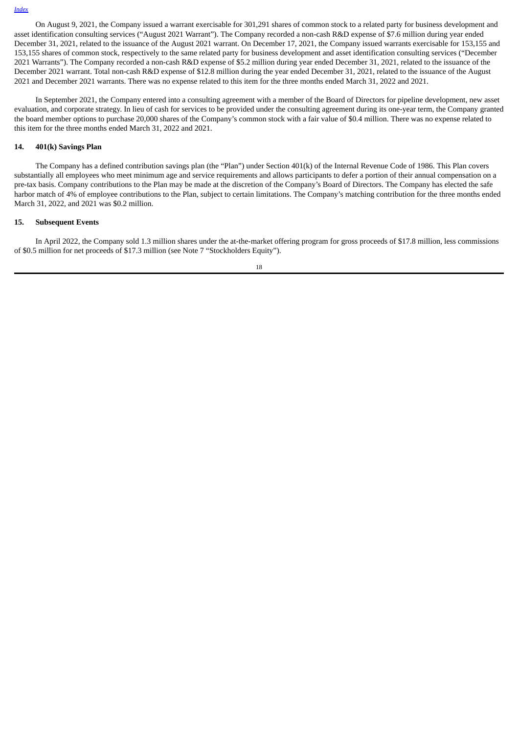On August 9, 2021, the Company issued a warrant exercisable for 301,291 shares of common stock to a related party for business development and asset identification consulting services ("August 2021 Warrant"). The Company recorded a non-cash R&D expense of \$7.6 million during year ended December 31, 2021, related to the issuance of the August 2021 warrant. On December 17, 2021, the Company issued warrants exercisable for 153,155 and 153,155 shares of common stock, respectively to the same related party for business development and asset identification consulting services ("December 2021 Warrants"). The Company recorded a non-cash R&D expense of \$5.2 million during year ended December 31, 2021, related to the issuance of the December 2021 warrant. Total non-cash R&D expense of \$12.8 million during the year ended December 31, 2021, related to the issuance of the August 2021 and December 2021 warrants. There was no expense related to this item for the three months ended March 31, 2022 and 2021.

In September 2021, the Company entered into a consulting agreement with a member of the Board of Directors for pipeline development, new asset evaluation, and corporate strategy. In lieu of cash for services to be provided under the consulting agreement during its one-year term, the Company granted the board member options to purchase 20,000 shares of the Company's common stock with a fair value of \$0.4 million. There was no expense related to this item for the three months ended March 31, 2022 and 2021.

# **14. 401(k) Savings Plan**

The Company has a defined contribution savings plan (the "Plan") under Section 401(k) of the Internal Revenue Code of 1986. This Plan covers substantially all employees who meet minimum age and service requirements and allows participants to defer a portion of their annual compensation on a pre-tax basis. Company contributions to the Plan may be made at the discretion of the Company's Board of Directors. The Company has elected the safe harbor match of 4% of employee contributions to the Plan, subject to certain limitations. The Company's matching contribution for the three months ended March 31, 2022, and 2021 was \$0.2 million.

#### **15. Subsequent Events**

In April 2022, the Company sold 1.3 million shares under the at-the-market offering program for gross proceeds of \$17.8 million, less commissions of \$0.5 million for net proceeds of \$17.3 million (see Note 7 "Stockholders Equity").

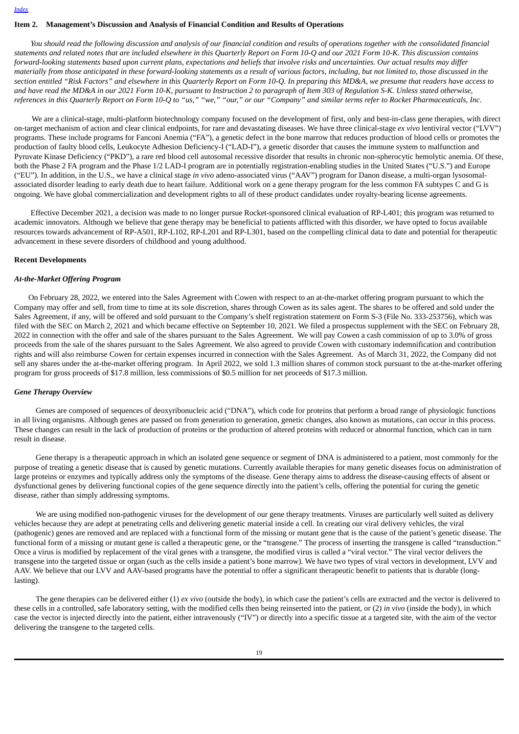#### <span id="page-18-0"></span>**Item 2. Management's Discussion and Analysis of Financial Condition and Results of Operations**

You should read the following discussion and analysis of our financial condition and results of operations together with the consolidated financial statements and related notes that are included elsewhere in this Quarterly Report on Form 10-Q and our 2021 Form 10-K. This discussion contains forward-looking statements based upon current plans, expectations and beliefs that involve risks and uncertainties. Our actual results may differ materially from those anticipated in these forward-looking statements as a result of various factors, including, but not limited to, those discussed in the section entitled "Risk Factors" and elsewhere in this Quarterly Report on Form 10-Q. In preparing this MD&A, we presume that readers have access to and have read the MD&A in our 2021 Form 10-K, pursuant to Instruction 2 to paragraph of Item 303 of Regulation S-K. Unless stated otherwise, references in this Quarterly Report on Form 10-Q to "us," "we," "our," or our "Company" and similar terms refer to Rocket Pharmaceuticals, Inc.

We are a clinical-stage, multi-platform biotechnology company focused on the development of first, only and best-in-class gene therapies, with direct on-target mechanism of action and clear clinical endpoints, for rare and devastating diseases. We have three clinical-stage *ex vivo* lentiviral vector ("LVV") programs. These include programs for Fanconi Anemia ("FA"), a genetic defect in the bone marrow that reduces production of blood cells or promotes the production of faulty blood cells, Leukocyte Adhesion Deficiency-I ("LAD-I"), a genetic disorder that causes the immune system to malfunction and Pyruvate Kinase Deficiency ("PKD"), a rare red blood cell autosomal recessive disorder that results in chronic non-spherocytic hemolytic anemia. Of these, both the Phase 2 FA program and the Phase 1/2 LAD-I program are in potentially registration-enabling studies in the United States ("U.S.") and Europe ("EU"). In addition, in the U.S., we have a clinical stage *in vivo* adeno-associated virus ("AAV") program for Danon disease, a multi-organ lysosomalassociated disorder leading to early death due to heart failure. Additional work on a gene therapy program for the less common FA subtypes C and G is ongoing. We have global commercialization and development rights to all of these product candidates under royalty-bearing license agreements.

Effective December 2021, a decision was made to no longer pursue Rocket-sponsored clinical evaluation of RP-L401; this program was returned to academic innovators. Although we believe that gene therapy may be beneficial to patients afflicted with this disorder, we have opted to focus available resources towards advancement of RP-A501, RP-L102, RP-L201 and RP-L301, based on the compelling clinical data to date and potential for therapeutic advancement in these severe disorders of childhood and young adulthood.

#### **Recent Developments**

#### *At-the-Market Offering Program*

On February 28, 2022, we entered into the Sales Agreement with Cowen with respect to an at-the-market offering program pursuant to which the Company may offer and sell, from time to time at its sole discretion, shares through Cowen as its sales agent. The shares to be offered and sold under the Sales Agreement, if any, will be offered and sold pursuant to the Company's shelf registration statement on Form S-3 (File No. 333-253756), which was filed with the SEC on March 2, 2021 and which became effective on September 10, 2021. We filed a prospectus supplement with the SEC on February 28, 2022 in connection with the offer and sale of the shares pursuant to the Sales Agreement. We will pay Cowen a cash commission of up to 3.0% of gross proceeds from the sale of the shares pursuant to the Sales Agreement. We also agreed to provide Cowen with customary indemnification and contribution rights and will also reimburse Cowen for certain expenses incurred in connection with the Sales Agreement. As of March 31, 2022, the Company did not sell any shares under the at-the-market offering program. In April 2022, we sold 1.3 million shares of common stock pursuant to the at-the-market offering program for gross proceeds of \$17.8 million, less commissions of \$0.5 million for net proceeds of \$17.3 million.

#### *Gene Therapy Overview*

Genes are composed of sequences of deoxyribonucleic acid ("DNA"), which code for proteins that perform a broad range of physiologic functions in all living organisms. Although genes are passed on from generation to generation, genetic changes, also known as mutations, can occur in this process. These changes can result in the lack of production of proteins or the production of altered proteins with reduced or abnormal function, which can in turn result in disease.

Gene therapy is a therapeutic approach in which an isolated gene sequence or segment of DNA is administered to a patient, most commonly for the purpose of treating a genetic disease that is caused by genetic mutations. Currently available therapies for many genetic diseases focus on administration of large proteins or enzymes and typically address only the symptoms of the disease. Gene therapy aims to address the disease-causing effects of absent or dysfunctional genes by delivering functional copies of the gene sequence directly into the patient's cells, offering the potential for curing the genetic disease, rather than simply addressing symptoms.

We are using modified non-pathogenic viruses for the development of our gene therapy treatments. Viruses are particularly well suited as delivery vehicles because they are adept at penetrating cells and delivering genetic material inside a cell. In creating our viral delivery vehicles, the viral (pathogenic) genes are removed and are replaced with a functional form of the missing or mutant gene that is the cause of the patient's genetic disease. The functional form of a missing or mutant gene is called a therapeutic gene, or the "transgene." The process of inserting the transgene is called "transduction." Once a virus is modified by replacement of the viral genes with a transgene, the modified virus is called a "viral vector." The viral vector delivers the transgene into the targeted tissue or organ (such as the cells inside a patient's bone marrow). We have two types of viral vectors in development, LVV and AAV. We believe that our LVV and AAV-based programs have the potential to offer a significant therapeutic benefit to patients that is durable (longlasting).

The gene therapies can be delivered either (1) *ex vivo* (outside the body), in which case the patient's cells are extracted and the vector is delivered to these cells in a controlled, safe laboratory setting, with the modified cells then being reinserted into the patient, or (2) *in vivo* (inside the body), in which case the vector is injected directly into the patient, either intravenously ("IV") or directly into a specific tissue at a targeted site, with the aim of the vector delivering the transgene to the targeted cells.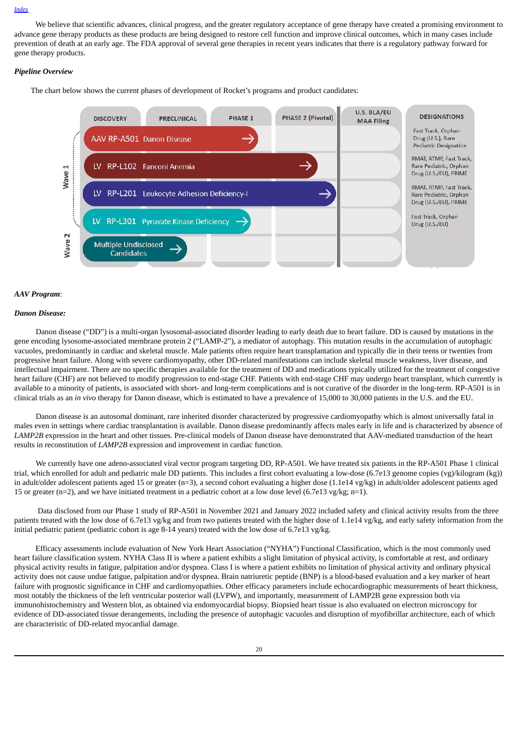We believe that scientific advances, clinical progress, and the greater regulatory acceptance of gene therapy have created a promising environment to advance gene therapy products as these products are being designed to restore cell function and improve clinical outcomes, which in many cases include prevention of death at an early age. The FDA approval of several gene therapies in recent years indicates that there is a regulatory pathway forward for gene therapy products.

# *Pipeline Overview*

The chart below shows the current phases of development of Rocket's programs and product candidates:



# *AAV Program*:

#### *Danon Disease:*

Danon disease ("DD") is a multi-organ lysosomal-associated disorder leading to early death due to heart failure. DD is caused by mutations in the gene encoding lysosome-associated membrane protein 2 ("LAMP-2"), a mediator of autophagy. This mutation results in the accumulation of autophagic vacuoles, predominantly in cardiac and skeletal muscle. Male patients often require heart transplantation and typically die in their teens or twenties from progressive heart failure. Along with severe cardiomyopathy, other DD-related manifestations can include skeletal muscle weakness, liver disease, and intellectual impairment. There are no specific therapies available for the treatment of DD and medications typically utilized for the treatment of congestive heart failure (CHF) are not believed to modify progression to end-stage CHF. Patients with end-stage CHF may undergo heart transplant, which currently is available to a minority of patients, is associated with short- and long-term complications and is not curative of the disorder in the long-term. RP-A501 is in clinical trials as an *in vivo* therapy for Danon disease, which is estimated to have a prevalence of 15,000 to 30,000 patients in the U.S. and the EU.

Danon disease is an autosomal dominant, rare inherited disorder characterized by progressive cardiomyopathy which is almost universally fatal in males even in settings where cardiac transplantation is available. Danon disease predominantly affects males early in life and is characterized by absence of *LAMP2B* expression in the heart and other tissues. Pre-clinical models of Danon disease have demonstrated that AAV-mediated transduction of the heart results in reconstitution of *LAMP2B* expression and improvement in cardiac function.

We currently have one adeno-associated viral vector program targeting DD, RP-A501. We have treated six patients in the RP-A501 Phase 1 clinical trial, which enrolled for adult and pediatric male DD patients. This includes a first cohort evaluating a low-dose (6.7e13 genome copies (vg)/kilogram (kg)) in adult/older adolescent patients aged 15 or greater (n=3), a second cohort evaluating a higher dose (1.1e14 vg/kg) in adult/older adolescent patients aged 15 or greater (n=2), and we have initiated treatment in a pediatric cohort at a low dose level (6.7e13 vg/kg; n=1).

Data disclosed from our Phase 1 study of RP-A501 in November 2021 and January 2022 included safety and clinical activity results from the three patients treated with the low dose of 6.7e13 vg/kg and from two patients treated with the higher dose of 1.1e14 vg/kg, and early safety information from the initial pediatric patient (pediatric cohort is age 8-14 years) treated with the low dose of 6.7e13 vg/kg.

Efficacy assessments include evaluation of New York Heart Association ("NYHA") Functional Classification, which is the most commonly used heart failure classification system. NYHA Class II is where a patient exhibits a slight limitation of physical activity, is comfortable at rest, and ordinary physical activity results in fatigue, palpitation and/or dyspnea. Class I is where a patient exhibits no limitation of physical activity and ordinary physical activity does not cause undue fatigue, palpitation and/or dyspnea. Brain natriuretic peptide (BNP) is a blood-based evaluation and a key marker of heart failure with prognostic significance in CHF and cardiomyopathies. Other efficacy parameters include echocardiographic measurements of heart thickness, most notably the thickness of the left ventricular posterior wall (LVPW), and importantly, measurement of LAMP2B gene expression both via immunohistochemistry and Western blot, as obtained via endomyocardial biopsy. Biopsied heart tissue is also evaluated on electron microscopy for evidence of DD-associated tissue derangements, including the presence of autophagic vacuoles and disruption of myofibrillar architecture, each of which are characteristic of DD-related myocardial damage.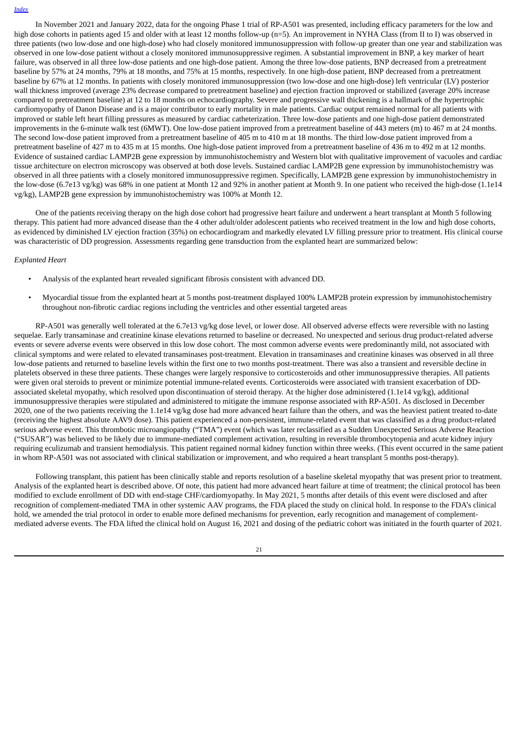In November 2021 and January 2022, data for the ongoing Phase 1 trial of RP-A501 was presented, including efficacy parameters for the low and high dose cohorts in patients aged 15 and older with at least 12 months follow-up (n=5). An improvement in NYHA Class (from II to I) was observed in three patients (two low-dose and one high-dose) who had closely monitored immunosuppression with follow-up greater than one year and stabilization was observed in one low-dose patient without a closely monitored immunosuppressive regimen. A substantial improvement in BNP, a key marker of heart failure, was observed in all three low-dose patients and one high-dose patient. Among the three low-dose patients, BNP decreased from a pretreatment baseline by 57% at 24 months, 79% at 18 months, and 75% at 15 months, respectively. In one high-dose patient, BNP decreased from a pretreatment baseline by 67% at 12 months. In patients with closely monitored immunosuppression (two low-dose and one high-dose) left ventricular (LV) posterior wall thickness improved (average 23% decrease compared to pretreatment baseline) and ejection fraction improved or stabilized (average 20% increase compared to pretreatment baseline) at 12 to 18 months on echocardiography. Severe and progressive wall thickening is a hallmark of the hypertrophic cardiomyopathy of Danon Disease and is a major contributor to early mortality in male patients. Cardiac output remained normal for all patients with improved or stable left heart filling pressures as measured by cardiac catheterization. Three low-dose patients and one high-dose patient demonstrated improvements in the 6-minute walk test (6MWT). One low-dose patient improved from a pretreatment baseline of 443 meters (m) to 467 m at 24 months. The second low-dose patient improved from a pretreatment baseline of 405 m to 410 m at 18 months. The third low-dose patient improved from a pretreatment baseline of 427 m to 435 m at 15 months. One high-dose patient improved from a pretreatment baseline of 436 m to 492 m at 12 months. Evidence of sustained cardiac LAMP2B gene expression by immunohistochemistry and Western blot with qualitative improvement of vacuoles and cardiac tissue architecture on electron microscopy was observed at both dose levels. Sustained cardiac LAMP2B gene expression by immunohistochemistry was observed in all three patients with a closely monitored immunosuppressive regimen. Specifically, LAMP2B gene expression by immunohistochemistry in the low-dose (6.7e13 vg/kg) was 68% in one patient at Month 12 and 92% in another patient at Month 9. In one patient who received the high-dose (1.1e14 vg/kg), LAMP2B gene expression by immunohistochemistry was 100% at Month 12.

One of the patients receiving therapy on the high dose cohort had progressive heart failure and underwent a heart transplant at Month 5 following therapy. This patient had more advanced disease than the 4 other adult/older adolescent patients who received treatment in the low and high dose cohorts, as evidenced by diminished LV ejection fraction (35%) on echocardiogram and markedly elevated LV filling pressure prior to treatment. His clinical course was characteristic of DD progression. Assessments regarding gene transduction from the explanted heart are summarized below:

#### *Explanted Heart*

- Analysis of the explanted heart revealed significant fibrosis consistent with advanced DD.
- Myocardial tissue from the explanted heart at 5 months post-treatment displayed 100% LAMP2B protein expression by immunohistochemistry throughout non-fibrotic cardiac regions including the ventricles and other essential targeted areas

RP-A501 was generally well tolerated at the 6.7e13 vg/kg dose level, or lower dose. All observed adverse effects were reversible with no lasting sequelae. Early transaminase and creatinine kinase elevations returned to baseline or decreased. No unexpected and serious drug product-related adverse events or severe adverse events were observed in this low dose cohort. The most common adverse events were predominantly mild, not associated with clinical symptoms and were related to elevated transaminases post-treatment. Elevation in transaminases and creatinine kinases was observed in all three low-dose patients and returned to baseline levels within the first one to two months post-treatment. There was also a transient and reversible decline in platelets observed in these three patients. These changes were largely responsive to corticosteroids and other immunosuppressive therapies. All patients were given oral steroids to prevent or minimize potential immune-related events. Corticosteroids were associated with transient exacerbation of DDassociated skeletal myopathy, which resolved upon discontinuation of steroid therapy. At the higher dose administered (1.1e14 vg/kg), additional immunosuppressive therapies were stipulated and administered to mitigate the immune response associated with RP-A501. As disclosed in December 2020, one of the two patients receiving the 1.1e14 vg/kg dose had more advanced heart failure than the others, and was the heaviest patient treated to-date (receiving the highest absolute AAV9 dose). This patient experienced a non-persistent, immune-related event that was classified as a drug product-related serious adverse event. This thrombotic microangiopathy ("TMA") event (which was later reclassified as a Sudden Unexpected Serious Adverse Reaction ("SUSAR") was believed to be likely due to immune-mediated complement activation, resulting in reversible thrombocytopenia and acute kidney injury requiring eculizumab and transient hemodialysis. This patient regained normal kidney function within three weeks. (This event occurred in the same patient in whom RP-A501 was not associated with clinical stabilization or improvement, and who required a heart transplant 5 months post-therapy).

Following transplant, this patient has been clinically stable and reports resolution of a baseline skeletal myopathy that was present prior to treatment. Analysis of the explanted heart is described above. Of note, this patient had more advanced heart failure at time of treatment; the clinical protocol has been modified to exclude enrollment of DD with end-stage CHF/cardiomyopathy. In May 2021, 5 months after details of this event were disclosed and after recognition of complement-mediated TMA in other systemic AAV programs, the FDA placed the study on clinical hold. In response to the FDA's clinical hold, we amended the trial protocol in order to enable more defined mechanisms for prevention, early recognition and management of complementmediated adverse events. The FDA lifted the clinical hold on August 16, 2021 and dosing of the pediatric cohort was initiated in the fourth quarter of 2021.

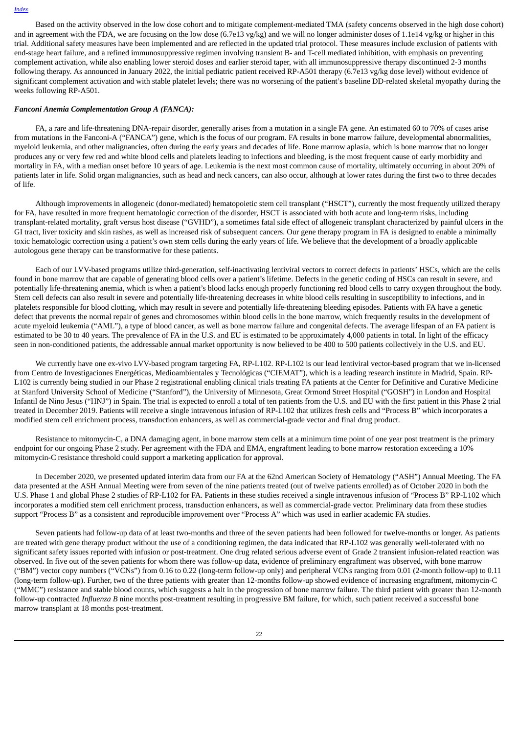Based on the activity observed in the low dose cohort and to mitigate complement-mediated TMA (safety concerns observed in the high dose cohort) and in agreement with the FDA, we are focusing on the low dose (6.7e13 vg/kg) and we will no longer administer doses of 1.1e14 vg/kg or higher in this trial. Additional safety measures have been implemented and are reflected in the updated trial protocol. These measures include exclusion of patients with end-stage heart failure, and a refined immunosuppressive regimen involving transient B- and T-cell mediated inhibition, with emphasis on preventing complement activation, while also enabling lower steroid doses and earlier steroid taper, with all immunosuppressive therapy discontinued 2-3 months following therapy. As announced in January 2022, the initial pediatric patient received RP-A501 therapy (6.7e13 vg/kg dose level) without evidence of significant complement activation and with stable platelet levels; there was no worsening of the patient's baseline DD-related skeletal myopathy during the weeks following RP-A501.

#### *Fanconi Anemia Complementation Group A (FANCA):*

FA, a rare and life-threatening DNA-repair disorder, generally arises from a mutation in a single FA gene. An estimated 60 to 70% of cases arise from mutations in the Fanconi-A ("FANCA") gene, which is the focus of our program. FA results in bone marrow failure, developmental abnormalities, myeloid leukemia, and other malignancies, often during the early years and decades of life. Bone marrow aplasia, which is bone marrow that no longer produces any or very few red and white blood cells and platelets leading to infections and bleeding, is the most frequent cause of early morbidity and mortality in FA, with a median onset before 10 years of age. Leukemia is the next most common cause of mortality, ultimately occurring in about 20% of patients later in life. Solid organ malignancies, such as head and neck cancers, can also occur, although at lower rates during the first two to three decades of life.

Although improvements in allogeneic (donor-mediated) hematopoietic stem cell transplant ("HSCT"), currently the most frequently utilized therapy for FA, have resulted in more frequent hematologic correction of the disorder, HSCT is associated with both acute and long-term risks, including transplant-related mortality, graft versus host disease ("GVHD"), a sometimes fatal side effect of allogeneic transplant characterized by painful ulcers in the GI tract, liver toxicity and skin rashes, as well as increased risk of subsequent cancers. Our gene therapy program in FA is designed to enable a minimally toxic hematologic correction using a patient's own stem cells during the early years of life. We believe that the development of a broadly applicable autologous gene therapy can be transformative for these patients.

Each of our LVV-based programs utilize third-generation, self-inactivating lentiviral vectors to correct defects in patients' HSCs, which are the cells found in bone marrow that are capable of generating blood cells over a patient's lifetime. Defects in the genetic coding of HSCs can result in severe, and potentially life-threatening anemia, which is when a patient's blood lacks enough properly functioning red blood cells to carry oxygen throughout the body. Stem cell defects can also result in severe and potentially life-threatening decreases in white blood cells resulting in susceptibility to infections, and in platelets responsible for blood clotting, which may result in severe and potentially life-threatening bleeding episodes. Patients with FA have a genetic defect that prevents the normal repair of genes and chromosomes within blood cells in the bone marrow, which frequently results in the development of acute myeloid leukemia ("AML"), a type of blood cancer, as well as bone marrow failure and congenital defects. The average lifespan of an FA patient is estimated to be 30 to 40 years. The prevalence of FA in the U.S. and EU is estimated to be approximately 4,000 patients in total. In light of the efficacy seen in non-conditioned patients, the addressable annual market opportunity is now believed to be 400 to 500 patients collectively in the U.S. and EU.

We currently have one ex-vivo LVV-based program targeting FA, RP-L102. RP-L102 is our lead lentiviral vector-based program that we in-licensed from Centro de Investigaciones Energéticas, Medioambientales y Tecnológicas ("CIEMAT"), which is a leading research institute in Madrid, Spain. RP-L102 is currently being studied in our Phase 2 registrational enabling clinical trials treating FA patients at the Center for Definitive and Curative Medicine at Stanford University School of Medicine ("Stanford"), the University of Minnesota, Great Ormond Street Hospital ("GOSH") in London and Hospital Infantil de Nino Jesus ("HNJ") in Spain. The trial is expected to enroll a total of ten patients from the U.S. and EU with the first patient in this Phase 2 trial treated in December 2019. Patients will receive a single intravenous infusion of RP-L102 that utilizes fresh cells and "Process B" which incorporates a modified stem cell enrichment process, transduction enhancers, as well as commercial-grade vector and final drug product.

Resistance to mitomycin-C, a DNA damaging agent, in bone marrow stem cells at a minimum time point of one year post treatment is the primary endpoint for our ongoing Phase 2 study. Per agreement with the FDA and EMA, engraftment leading to bone marrow restoration exceeding a 10% mitomycin-C resistance threshold could support a marketing application for approval.

In December 2020, we presented updated interim data from our FA at the 62nd American Society of Hematology ("ASH") Annual Meeting. The FA data presented at the ASH Annual Meeting were from seven of the nine patients treated (out of twelve patients enrolled) as of October 2020 in both the U.S. Phase 1 and global Phase 2 studies of RP-L102 for FA. Patients in these studies received a single intravenous infusion of "Process B" RP-L102 which incorporates a modified stem cell enrichment process, transduction enhancers, as well as commercial-grade vector. Preliminary data from these studies support "Process B" as a consistent and reproducible improvement over "Process A" which was used in earlier academic FA studies.

Seven patients had follow-up data of at least two-months and three of the seven patients had been followed for twelve-months or longer. As patients are treated with gene therapy product without the use of a conditioning regimen, the data indicated that RP-L102 was generally well-tolerated with no significant safety issues reported with infusion or post-treatment. One drug related serious adverse event of Grade 2 transient infusion-related reaction was observed. In five out of the seven patients for whom there was follow-up data, evidence of preliminary engraftment was observed, with bone marrow ("BM") vector copy numbers ("VCNs") from 0.16 to 0.22 (long-term follow-up only) and peripheral VCNs ranging from 0.01 (2-month follow-up) to 0.11 (long-term follow-up). Further, two of the three patients with greater than 12-months follow-up showed evidence of increasing engraftment, mitomycin-C ("MMC") resistance and stable blood counts, which suggests a halt in the progression of bone marrow failure. The third patient with greater than 12-month follow-up contracted *Influenza B* nine months post-treatment resulting in progressive BM failure, for which, such patient received a successful bone marrow transplant at 18 months post-treatment.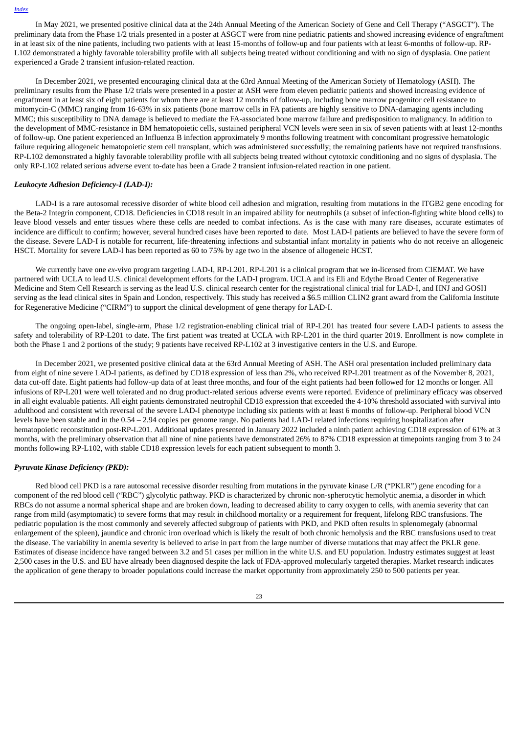In May 2021, we presented positive clinical data at the 24th Annual Meeting of the American Society of Gene and Cell Therapy ("ASGCT"). The preliminary data from the Phase 1/2 trials presented in a poster at ASGCT were from nine pediatric patients and showed increasing evidence of engraftment in at least six of the nine patients, including two patients with at least 15-months of follow-up and four patients with at least 6-months of follow-up. RP-L102 demonstrated a highly favorable tolerability profile with all subjects being treated without conditioning and with no sign of dysplasia. One patient experienced a Grade 2 transient infusion-related reaction.

In December 2021, we presented encouraging clinical data at the 63rd Annual Meeting of the American Society of Hematology (ASH). The preliminary results from the Phase 1/2 trials were presented in a poster at ASH were from eleven pediatric patients and showed increasing evidence of engraftment in at least six of eight patients for whom there are at least 12 months of follow-up, including bone marrow progenitor cell resistance to mitomycin-C (MMC) ranging from 16-63% in six patients (bone marrow cells in FA patients are highly sensitive to DNA-damaging agents including MMC; this susceptibility to DNA damage is believed to mediate the FA-associated bone marrow failure and predisposition to malignancy. In addition to the development of MMC-resistance in BM hematopoietic cells, sustained peripheral VCN levels were seen in six of seven patients with at least 12-months of follow-up. One patient experienced an Influenza B infection approximately 9 months following treatment with concomitant progressive hematologic failure requiring allogeneic hematopoietic stem cell transplant, which was administered successfully; the remaining patients have not required transfusions. RP-L102 demonstrated a highly favorable tolerability profile with all subjects being treated without cytotoxic conditioning and no signs of dysplasia. The only RP-L102 related serious adverse event to-date has been a Grade 2 transient infusion-related reaction in one patient.

#### *Leukocyte Adhesion Deficiency-I (LAD-I):*

LAD-I is a rare autosomal recessive disorder of white blood cell adhesion and migration, resulting from mutations in the ITGB2 gene encoding for the Beta-2 Integrin component, CD18. Deficiencies in CD18 result in an impaired ability for neutrophils (a subset of infection-fighting white blood cells) to leave blood vessels and enter tissues where these cells are needed to combat infections. As is the case with many rare diseases, accurate estimates of incidence are difficult to confirm; however, several hundred cases have been reported to date. Most LAD-I patients are believed to have the severe form of the disease. Severe LAD-I is notable for recurrent, life-threatening infections and substantial infant mortality in patients who do not receive an allogeneic HSCT. Mortality for severe LAD-I has been reported as 60 to 75% by age two in the absence of allogeneic HCST.

We currently have one *ex*-vivo program targeting LAD-I, RP-L201. RP-L201 is a clinical program that we in-licensed from CIEMAT. We have partnered with UCLA to lead U.S. clinical development efforts for the LAD-I program. UCLA and its Eli and Edythe Broad Center of Regenerative Medicine and Stem Cell Research is serving as the lead U.S. clinical research center for the registrational clinical trial for LAD-I, and HNJ and GOSH serving as the lead clinical sites in Spain and London, respectively. This study has received a \$6.5 million CLIN2 grant award from the California Institute for Regenerative Medicine ("CIRM") to support the clinical development of gene therapy for LAD-I.

The ongoing open-label, single-arm, Phase 1/2 registration-enabling clinical trial of RP-L201 has treated four severe LAD-I patients to assess the safety and tolerability of RP-L201 to date. The first patient was treated at UCLA with RP-L201 in the third quarter 2019. Enrollment is now complete in both the Phase 1 and 2 portions of the study; 9 patients have received RP-L102 at 3 investigative centers in the U.S. and Europe.

In December 2021, we presented positive clinical data at the 63rd Annual Meeting of ASH. The ASH oral presentation included preliminary data from eight of nine severe LAD-I patients, as defined by CD18 expression of less than 2%, who received RP-L201 treatment as of the November 8, 2021, data cut-off date. Eight patients had follow-up data of at least three months, and four of the eight patients had been followed for 12 months or longer. All infusions of RP-L201 were well tolerated and no drug product-related serious adverse events were reported. Evidence of preliminary efficacy was observed in all eight evaluable patients. All eight patients demonstrated neutrophil CD18 expression that exceeded the 4-10% threshold associated with survival into adulthood and consistent with reversal of the severe LAD-I phenotype including six patients with at least 6 months of follow-up. Peripheral blood VCN levels have been stable and in the 0.54 – 2.94 copies per genome range. No patients had LAD-I related infections requiring hospitalization after hematopoietic reconstitution post-RP-L201. Additional updates presented in January 2022 included a ninth patient achieving CD18 expression of 61% at 3 months, with the preliminary observation that all nine of nine patients have demonstrated 26% to 87% CD18 expression at timepoints ranging from 3 to 24 months following RP-L102, with stable CD18 expression levels for each patient subsequent to month 3.

#### *Pyruvate Kinase Deficiency (PKD):*

Red blood cell PKD is a rare autosomal recessive disorder resulting from mutations in the pyruvate kinase L/R ("PKLR") gene encoding for a component of the red blood cell ("RBC") glycolytic pathway. PKD is characterized by chronic non-spherocytic hemolytic anemia, a disorder in which RBCs do not assume a normal spherical shape and are broken down, leading to decreased ability to carry oxygen to cells, with anemia severity that can range from mild (asymptomatic) to severe forms that may result in childhood mortality or a requirement for frequent, lifelong RBC transfusions. The pediatric population is the most commonly and severely affected subgroup of patients with PKD, and PKD often results in splenomegaly (abnormal enlargement of the spleen), jaundice and chronic iron overload which is likely the result of both chronic hemolysis and the RBC transfusions used to treat the disease. The variability in anemia severity is believed to arise in part from the large number of diverse mutations that may affect the PKLR gene. Estimates of disease incidence have ranged between 3.2 and 51 cases per million in the white U.S. and EU population. Industry estimates suggest at least 2,500 cases in the U.S. and EU have already been diagnosed despite the lack of FDA-approved molecularly targeted therapies. Market research indicates the application of gene therapy to broader populations could increase the market opportunity from approximately 250 to 500 patients per year.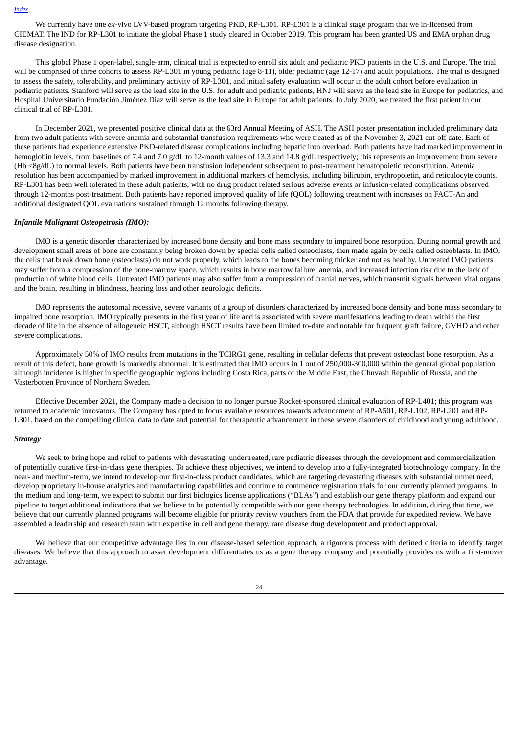We currently have one *ex*-vivo LVV-based program targeting PKD, RP-L301. RP-L301 is a clinical stage program that we in-licensed from CIEMAT. The IND for RP-L301 to initiate the global Phase 1 study cleared in October 2019. This program has been granted US and EMA orphan drug disease designation.

This global Phase 1 open-label, single-arm, clinical trial is expected to enroll six adult and pediatric PKD patients in the U.S. and Europe. The trial will be comprised of three cohorts to assess RP-L301 in young pediatric (age 8-11), older pediatric (age 12-17) and adult populations. The trial is designed to assess the safety, tolerability, and preliminary activity of RP-L301, and initial safety evaluation will occur in the adult cohort before evaluation in pediatric patients. Stanford will serve as the lead site in the U.S. for adult and pediatric patients, HNJ will serve as the lead site in Europe for pediatrics, and Hospital Universitario Fundación Jiménez Díaz will serve as the lead site in Europe for adult patients. In July 2020, we treated the first patient in our clinical trial of RP-L301.

In December 2021, we presented positive clinical data at the 63rd Annual Meeting of ASH. The ASH poster presentation included preliminary data from two adult patients with severe anemia and substantial transfusion requirements who were treated as of the November 3, 2021 cut-off date. Each of these patients had experience extensive PKD-related disease complications including hepatic iron overload. Both patients have had marked improvement in hemoglobin levels, from baselines of 7.4 and 7.0 g/dL to 12-month values of 13.3 and 14.8 g/dL respectively; this represents an improvement from severe (Hb <8g/dL) to normal levels. Both patients have been transfusion independent subsequent to post-treatment hematopoietic reconstitution. Anemia resolution has been accompanied by marked improvement in additional markers of hemolysis, including bilirubin, erythropoietin, and reticulocyte counts. RP-L301 has been well tolerated in these adult patients, with no drug product related serious adverse events or infusion-related complications observed through 12-months post-treatment. Both patients have reported improved quality of life (QOL) following treatment with increases on FACT-An and additional designated QOL evaluations sustained through 12 months following therapy.

#### *Infantile Malignant Osteopetrosis (IMO):*

IMO is a genetic disorder characterized by increased bone density and bone mass secondary to impaired bone resorption. During normal growth and development small areas of bone are constantly being broken down by special cells called osteoclasts, then made again by cells called osteoblasts. In IMO, the cells that break down bone (osteoclasts) do not work properly, which leads to the bones becoming thicker and not as healthy. Untreated IMO patients may suffer from a compression of the bone-marrow space, which results in bone marrow failure, anemia, and increased infection risk due to the lack of production of white blood cells. Untreated IMO patients may also suffer from a compression of cranial nerves, which transmit signals between vital organs and the brain, resulting in blindness, hearing loss and other neurologic deficits.

IMO represents the autosomal recessive, severe variants of a group of disorders characterized by increased bone density and bone mass secondary to impaired bone resorption. IMO typically presents in the first year of life and is associated with severe manifestations leading to death within the first decade of life in the absence of allogeneic HSCT, although HSCT results have been limited to-date and notable for frequent graft failure, GVHD and other severe complications.

Approximately 50% of IMO results from mutations in the TCIRG1 gene, resulting in cellular defects that prevent osteoclast bone resorption. As a result of this defect, bone growth is markedly abnormal. It is estimated that IMO occurs in 1 out of 250,000-300,000 within the general global population, although incidence is higher in specific geographic regions including Costa Rica, parts of the Middle East, the Chuvash Republic of Russia, and the Vasterbotten Province of Northern Sweden.

Effective December 2021, the Company made a decision to no longer pursue Rocket-sponsored clinical evaluation of RP-L401; this program was returned to academic innovators. The Company has opted to focus available resources towards advancement of RP-A501, RP-L102, RP-L201 and RP-L301, based on the compelling clinical data to date and potential for therapeutic advancement in these severe disorders of childhood and young adulthood.

# *Strategy*

We seek to bring hope and relief to patients with devastating, undertreated, rare pediatric diseases through the development and commercialization of potentially curative first-in-class gene therapies. To achieve these objectives, we intend to develop into a fully-integrated biotechnology company. In the near- and medium-term, we intend to develop our first-in-class product candidates, which are targeting devastating diseases with substantial unmet need, develop proprietary in-house analytics and manufacturing capabilities and continue to commence registration trials for our currently planned programs. In the medium and long-term, we expect to submit our first biologics license applications ("BLAs") and establish our gene therapy platform and expand our pipeline to target additional indications that we believe to be potentially compatible with our gene therapy technologies. In addition, during that time, we believe that our currently planned programs will become eligible for priority review vouchers from the FDA that provide for expedited review. We have assembled a leadership and research team with expertise in cell and gene therapy, rare disease drug development and product approval.

We believe that our competitive advantage lies in our disease-based selection approach, a rigorous process with defined criteria to identify target diseases. We believe that this approach to asset development differentiates us as a gene therapy company and potentially provides us with a first-mover advantage.

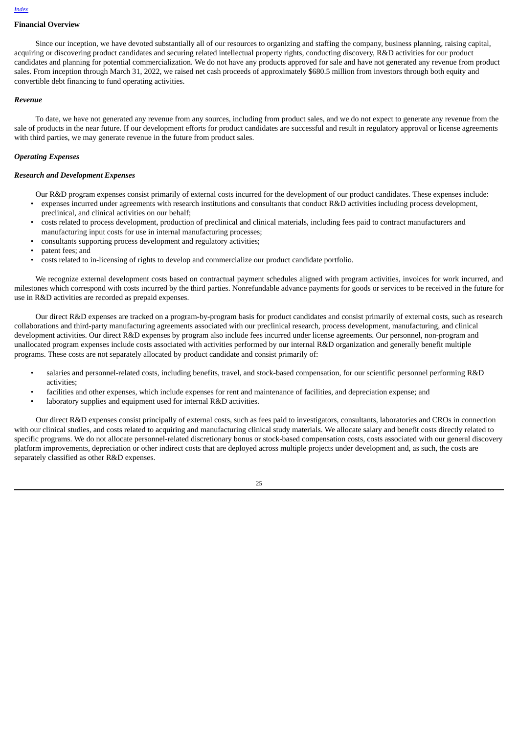# **Financial Overview**

Since our inception, we have devoted substantially all of our resources to organizing and staffing the company, business planning, raising capital, acquiring or discovering product candidates and securing related intellectual property rights, conducting discovery, R&D activities for our product candidates and planning for potential commercialization. We do not have any products approved for sale and have not generated any revenue from product sales. From inception through March 31, 2022, we raised net cash proceeds of approximately \$680.5 million from investors through both equity and convertible debt financing to fund operating activities.

# *Revenue*

To date, we have not generated any revenue from any sources, including from product sales, and we do not expect to generate any revenue from the sale of products in the near future. If our development efforts for product candidates are successful and result in regulatory approval or license agreements with third parties, we may generate revenue in the future from product sales.

# *Operating Expenses*

#### *Research and Development Expenses*

Our R&D program expenses consist primarily of external costs incurred for the development of our product candidates. These expenses include:

- expenses incurred under agreements with research institutions and consultants that conduct R&D activities including process development, preclinical, and clinical activities on our behalf;
- costs related to process development, production of preclinical and clinical materials, including fees paid to contract manufacturers and manufacturing input costs for use in internal manufacturing processes;
- consultants supporting process development and regulatory activities;
- patent fees; and
- costs related to in-licensing of rights to develop and commercialize our product candidate portfolio.

We recognize external development costs based on contractual payment schedules aligned with program activities, invoices for work incurred, and milestones which correspond with costs incurred by the third parties. Nonrefundable advance payments for goods or services to be received in the future for use in R&D activities are recorded as prepaid expenses.

Our direct R&D expenses are tracked on a program-by-program basis for product candidates and consist primarily of external costs, such as research collaborations and third-party manufacturing agreements associated with our preclinical research, process development, manufacturing, and clinical development activities. Our direct R&D expenses by program also include fees incurred under license agreements. Our personnel, non-program and unallocated program expenses include costs associated with activities performed by our internal R&D organization and generally benefit multiple programs. These costs are not separately allocated by product candidate and consist primarily of:

- salaries and personnel-related costs, including benefits, travel, and stock-based compensation, for our scientific personnel performing R&D activities;
- facilities and other expenses, which include expenses for rent and maintenance of facilities, and depreciation expense; and
- laboratory supplies and equipment used for internal R&D activities.

Our direct R&D expenses consist principally of external costs, such as fees paid to investigators, consultants, laboratories and CROs in connection with our clinical studies, and costs related to acquiring and manufacturing clinical study materials. We allocate salary and benefit costs directly related to specific programs. We do not allocate personnel-related discretionary bonus or stock-based compensation costs, costs associated with our general discovery platform improvements, depreciation or other indirect costs that are deployed across multiple projects under development and, as such, the costs are separately classified as other R&D expenses.

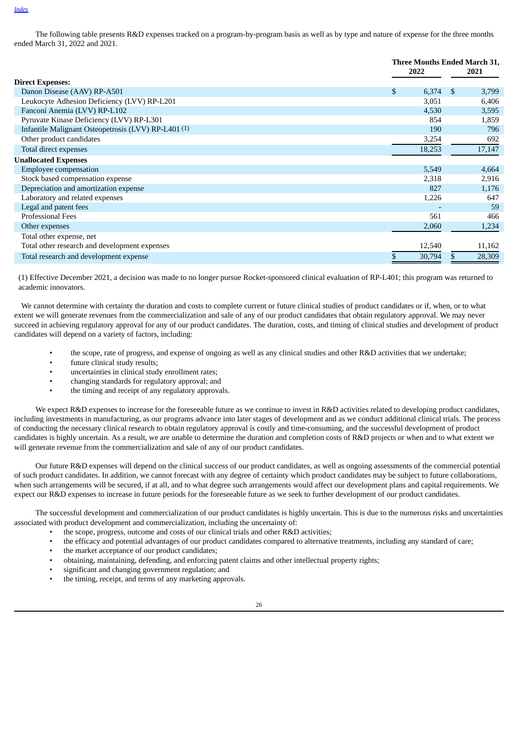The following table presents R&D expenses tracked on a program-by-program basis as well as by type and nature of expense for the three months ended March 31, 2022 and 2021.

|                                                                | Three Months Ended March 31, |        |               |        |
|----------------------------------------------------------------|------------------------------|--------|---------------|--------|
|                                                                |                              | 2022   |               | 2021   |
| <b>Direct Expenses:</b>                                        |                              |        |               |        |
| Danon Disease (AAV) RP-A501                                    | \$                           | 6,374  | <sup>\$</sup> | 3,799  |
| Leukocyte Adhesion Deficiency (LVV) RP-L201                    |                              | 3,051  |               | 6,406  |
| Fanconi Anemia (LVV) RP-L102                                   |                              | 4,530  |               | 3,595  |
| Pyruvate Kinase Deficiency (LVV) RP-L301                       |                              | 854    |               | 1,859  |
| Infantile Malignant Osteopetrosis (LVV) RP-L401 <sup>(1)</sup> |                              | 190    |               | 796    |
| Other product candidates                                       |                              | 3,254  |               | 692    |
| Total direct expenses                                          |                              | 18,253 |               | 17,147 |
| <b>Unallocated Expenses</b>                                    |                              |        |               |        |
| <b>Employee compensation</b>                                   |                              | 5,549  |               | 4,664  |
| Stock based compensation expense                               |                              | 2,318  |               | 2,916  |
| Depreciation and amortization expense                          |                              | 827    |               | 1,176  |
| Laboratory and related expenses                                |                              | 1,226  |               | 647    |
| Legal and patent fees                                          |                              |        |               | 59     |
| <b>Professional Fees</b>                                       |                              | 561    |               | 466    |
| Other expenses                                                 |                              | 2,060  |               | 1,234  |
| Total other expense, net                                       |                              |        |               |        |
| Total other research and development expenses                  |                              | 12,540 |               | 11,162 |
| Total research and development expense                         | \$                           | 30,794 | \$            | 28,309 |

(1) Effective December 2021, a decision was made to no longer pursue Rocket-sponsored clinical evaluation of RP-L401; this program was returned to academic innovators.

We cannot determine with certainty the duration and costs to complete current or future clinical studies of product candidates or if, when, or to what extent we will generate revenues from the commercialization and sale of any of our product candidates that obtain regulatory approval. We may never succeed in achieving regulatory approval for any of our product candidates. The duration, costs, and timing of clinical studies and development of product candidates will depend on a variety of factors, including:

- the scope, rate of progress, and expense of ongoing as well as any clinical studies and other R&D activities that we undertake;
- future clinical study results:
- uncertainties in clinical study enrollment rates;
- changing standards for regulatory approval; and
- the timing and receipt of any regulatory approvals.

We expect R&D expenses to increase for the foreseeable future as we continue to invest in R&D activities related to developing product candidates, including investments in manufacturing, as our programs advance into later stages of development and as we conduct additional clinical trials. The process of conducting the necessary clinical research to obtain regulatory approval is costly and time-consuming, and the successful development of product candidates is highly uncertain. As a result, we are unable to determine the duration and completion costs of R&D projects or when and to what extent we will generate revenue from the commercialization and sale of any of our product candidates.

Our future R&D expenses will depend on the clinical success of our product candidates, as well as ongoing assessments of the commercial potential of such product candidates. In addition, we cannot forecast with any degree of certainty which product candidates may be subject to future collaborations, when such arrangements will be secured, if at all, and to what degree such arrangements would affect our development plans and capital requirements. We expect our R&D expenses to increase in future periods for the foreseeable future as we seek to further development of our product candidates.

The successful development and commercialization of our product candidates is highly uncertain. This is due to the numerous risks and uncertainties associated with product development and commercialization, including the uncertainty of:

- the scope, progress, outcome and costs of our clinical trials and other R&D activities;
- the efficacy and potential advantages of our product candidates compared to alternative treatments, including any standard of care;
- the market acceptance of our product candidates;
- obtaining, maintaining, defending, and enforcing patent claims and other intellectual property rights;
- significant and changing government regulation; and
- the timing, receipt, and terms of any marketing approvals.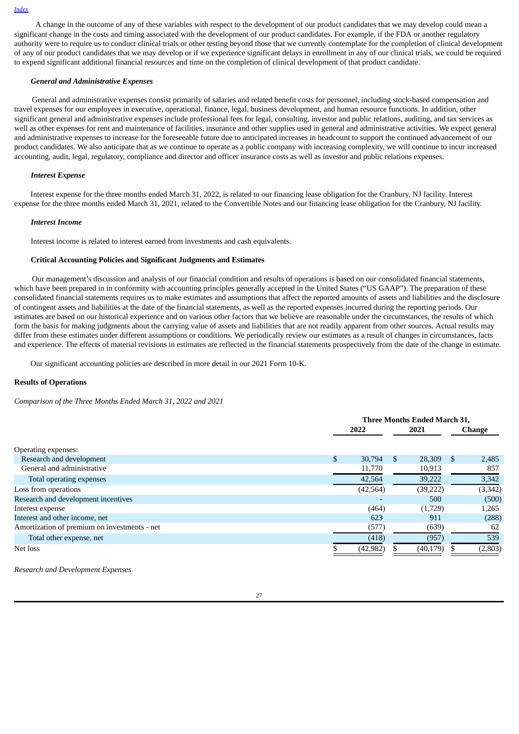A change in the outcome of any of these variables with respect to the development of our product candidates that we may develop could mean a significant change in the costs and timing associated with the development of our product candidates. For example, if the FDA or another regulatory authority were to require us to conduct clinical trials or other testing beyond those that we currently contemplate for the completion of clinical development of any of our product candidates that we may develop or if we experience significant delays in enrollment in any of our clinical trials, we could be required to expend significant additional financial resources and time on the completion of clinical development of that product candidate.

# *General and Administrative Expenses*

General and administrative expenses consist primarily of salaries and related benefit costs for personnel, including stock-based compensation and travel expenses for our employees in executive, operational, finance, legal, business development, and human resource functions. In addition, other significant general and administrative expenses include professional fees for legal, consulting, investor and public relations, auditing, and tax services as well as other expenses for rent and maintenance of facilities, insurance and other supplies used in general and administrative activities. We expect general and administrative expenses to increase for the foreseeable future due to anticipated increases in headcount to support the continued advancement of our product candidates. We also anticipate that as we continue to operate as a public company with increasing complexity, we will continue to incur increased accounting, audit, legal, regulatory, compliance and director and officer insurance costs as well as investor and public relations expenses.

#### *Interest Expense*

Interest expense for the three months ended March 31, 2022, is related to our financing lease obligation for the Cranbury, NJ facility. Interest expense for the three months ended March 31, 2021, related to the Convertible Notes and our financing lease obligation for the Cranbury, NJ facility.

#### *Interest Income*

Interest income is related to interest earned from investments and cash equivalents.

#### **Critical Accounting Policies and Significant Judgments and Estimates**

Our management's discussion and analysis of our financial condition and results of operations is based on our consolidated financial statements, which have been prepared in in conformity with accounting principles generally accepted in the United States ("US GAAP"). The preparation of these consolidated financial statements requires us to make estimates and assumptions that affect the reported amounts of assets and liabilities and the disclosure of contingent assets and liabilities at the date of the financial statements, as well as the reported expenses incurred during the reporting periods. Our estimates are based on our historical experience and on various other factors that we believe are reasonable under the circumstances, the results of which form the basis for making judgments about the carrying value of assets and liabilities that are not readily apparent from other sources. Actual results may differ from these estimates under different assumptions or conditions. We periodically review our estimates as a result of changes in circumstances, facts and experience. The effects of material revisions in estimates are reflected in the financial statements prospectively from the date of the change in estimate.

Our significant accounting policies are described in more detail in our 2021 Form 10-K.

# **Results of Operations**

*Comparison of the Three Months Ended March 31, 2022 and 2021*

| <b>Three Months Ended March 31.</b> |           |      |           |        |          |
|-------------------------------------|-----------|------|-----------|--------|----------|
| 2022                                |           | 2021 |           | Change |          |
|                                     |           |      |           |        |          |
|                                     |           |      |           |        |          |
| \$                                  | 30,794    | S    | 28,309    | S      | 2,485    |
|                                     | 11,770    |      | 10,913    |        | 857      |
|                                     | 42,564    |      | 39,222    |        | 3,342    |
|                                     | (42, 564) |      | (39, 222) |        | (3, 342) |
|                                     |           |      | 500       |        | (500)    |
|                                     | (464)     |      | (1,729)   |        | 1,265    |
|                                     | 623       |      | 911       |        | (288)    |
|                                     | (577)     |      | (639)     |        | 62       |
|                                     | (418)     |      | (957)     |        | 539      |
|                                     | (42, 982) |      | (40, 179) |        | (2,803)  |
|                                     |           |      |           |        |          |

*Research and Development Expenses*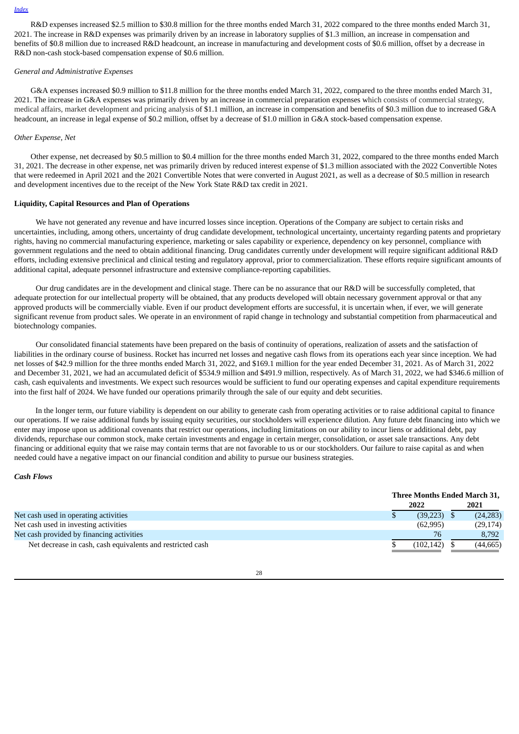R&D expenses increased \$2.5 million to \$30.8 million for the three months ended March 31, 2022 compared to the three months ended March 31, 2021. The increase in R&D expenses was primarily driven by an increase in laboratory supplies of \$1.3 million, an increase in compensation and benefits of \$0.8 million due to increased R&D headcount, an increase in manufacturing and development costs of \$0.6 million, offset by a decrease in R&D non-cash stock-based compensation expense of \$0.6 million.

#### *General and Administrative Expenses*

G&A expenses increased \$0.9 million to \$11.8 million for the three months ended March 31, 2022, compared to the three months ended March 31, 2021. The increase in G&A expenses was primarily driven by an increase in commercial preparation expenses which consists of commercial strategy, medical affairs, market development and pricing analysis of \$1.1 million, an increase in compensation and benefits of \$0.3 million due to increased G&A headcount, an increase in legal expense of \$0.2 million, offset by a decrease of \$1.0 million in G&A stock-based compensation expense.

#### *Other Expense, Net*

Other expense, net decreased by \$0.5 million to \$0.4 million for the three months ended March 31, 2022, compared to the three months ended March 31, 2021. The decrease in other expense, net was primarily driven by reduced interest expense of \$1.3 million associated with the 2022 Convertible Notes that were redeemed in April 2021 and the 2021 Convertible Notes that were converted in August 2021, as well as a decrease of \$0.5 million in research and development incentives due to the receipt of the New York State R&D tax credit in 2021.

# **Liquidity, Capital Resources and Plan of Operations**

We have not generated any revenue and have incurred losses since inception. Operations of the Company are subject to certain risks and uncertainties, including, among others, uncertainty of drug candidate development, technological uncertainty, uncertainty regarding patents and proprietary rights, having no commercial manufacturing experience, marketing or sales capability or experience, dependency on key personnel, compliance with government regulations and the need to obtain additional financing. Drug candidates currently under development will require significant additional R&D efforts, including extensive preclinical and clinical testing and regulatory approval, prior to commercialization. These efforts require significant amounts of additional capital, adequate personnel infrastructure and extensive compliance-reporting capabilities.

Our drug candidates are in the development and clinical stage. There can be no assurance that our R&D will be successfully completed, that adequate protection for our intellectual property will be obtained, that any products developed will obtain necessary government approval or that any approved products will be commercially viable. Even if our product development efforts are successful, it is uncertain when, if ever, we will generate significant revenue from product sales. We operate in an environment of rapid change in technology and substantial competition from pharmaceutical and biotechnology companies.

Our consolidated financial statements have been prepared on the basis of continuity of operations, realization of assets and the satisfaction of liabilities in the ordinary course of business. Rocket has incurred net losses and negative cash flows from its operations each year since inception. We had net losses of \$42.9 million for the three months ended March 31, 2022, and \$169.1 million for the year ended December 31, 2021. As of March 31, 2022 and December 31, 2021, we had an accumulated deficit of \$534.9 million and \$491.9 million, respectively. As of March 31, 2022, we had \$346.6 million of cash, cash equivalents and investments. We expect such resources would be sufficient to fund our operating expenses and capital expenditure requirements into the first half of 2024. We have funded our operations primarily through the sale of our equity and debt securities.

In the longer term, our future viability is dependent on our ability to generate cash from operating activities or to raise additional capital to finance our operations. If we raise additional funds by issuing equity securities, our stockholders will experience dilution. Any future debt financing into which we enter may impose upon us additional covenants that restrict our operations, including limitations on our ability to incur liens or additional debt, pay dividends, repurchase our common stock, make certain investments and engage in certain merger, consolidation, or asset sale transactions. Any debt financing or additional equity that we raise may contain terms that are not favorable to us or our stockholders. Our failure to raise capital as and when needed could have a negative impact on our financial condition and ability to pursue our business strategies.

#### *Cash Flows*

|                                                            | Three Months Ended March 31, |  |           |
|------------------------------------------------------------|------------------------------|--|-----------|
|                                                            | 2022                         |  | 2021      |
| Net cash used in operating activities                      | (39, 223)                    |  | (24, 283) |
| Net cash used in investing activities                      | (62, 995)                    |  | (29, 174) |
| Net cash provided by financing activities                  | 76                           |  | 8.792     |
| Net decrease in cash, cash equivalents and restricted cash | (102, 142)                   |  | (44, 665) |

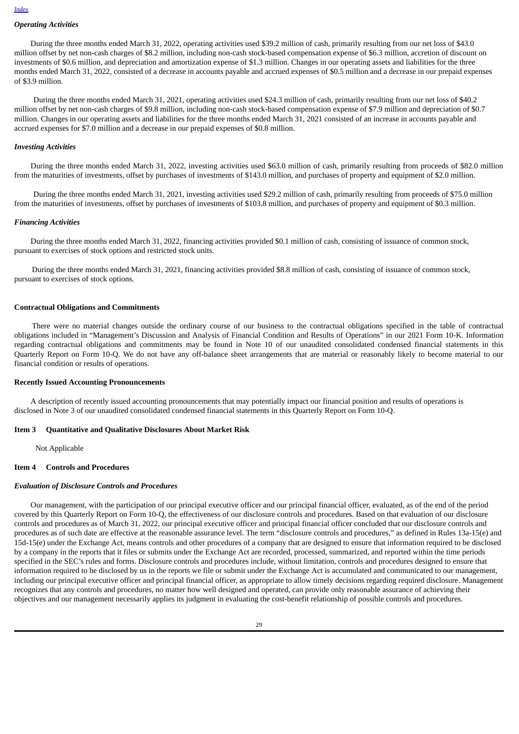# *Operating Activities*

During the three months ended March 31, 2022, operating activities used \$39.2 million of cash, primarily resulting from our net loss of \$43.0 million offset by net non-cash charges of \$8.2 million, including non-cash stock-based compensation expense of \$6.3 million, accretion of discount on investments of \$0.6 million, and depreciation and amortization expense of \$1.3 million. Changes in our operating assets and liabilities for the three months ended March 31, 2022, consisted of a decrease in accounts payable and accrued expenses of \$0.5 million and a decrease in our prepaid expenses of \$3.9 million.

During the three months ended March 31, 2021, operating activities used \$24.3 million of cash, primarily resulting from our net loss of \$40.2 million offset by net non-cash charges of \$9.8 million, including non-cash stock-based compensation expense of \$7.9 million and depreciation of \$0.7 million. Changes in our operating assets and liabilities for the three months ended March 31, 2021 consisted of an increase in accounts payable and accrued expenses for \$7.0 million and a decrease in our prepaid expenses of \$0.8 million.

#### *Investing Activities*

During the three months ended March 31, 2022, investing activities used \$63.0 million of cash, primarily resulting from proceeds of \$82.0 million from the maturities of investments, offset by purchases of investments of \$143.0 million, and purchases of property and equipment of \$2.0 million.

During the three months ended March 31, 2021, investing activities used \$29.2 million of cash, primarily resulting from proceeds of \$75.0 million from the maturities of investments, offset by purchases of investments of \$103.8 million, and purchases of property and equipment of \$0.3 million.

#### *Financing Activities*

During the three months ended March 31, 2022, financing activities provided \$0.1 million of cash, consisting of issuance of common stock, pursuant to exercises of stock options and restricted stock units.

During the three months ended March 31, 2021, financing activities provided \$8.8 million of cash, consisting of issuance of common stock, pursuant to exercises of stock options.

#### **Contractual Obligations and Commitments**

There were no material changes outside the ordinary course of our business to the contractual obligations specified in the table of contractual obligations included in "Management's Discussion and Analysis of Financial Condition and Results of Operations" in our 2021 Form 10-K. Information regarding contractual obligations and commitments may be found in Note 10 of our unaudited consolidated condensed financial statements in this Quarterly Report on Form 10-Q. We do not have any off-balance sheet arrangements that are material or reasonably likely to become material to our financial condition or results of operations.

#### **Recently Issued Accounting Pronouncements**

A description of recently issued accounting pronouncements that may potentially impact our financial position and results of operations is disclosed in Note 3 of our unaudited consolidated condensed financial statements in this Quarterly Report on Form 10-Q.

#### <span id="page-28-0"></span>**Item 3 Quantitative and Qualitative Disclosures About Market Risk**

Not Applicable

# <span id="page-28-1"></span>**Item 4 Controls and Procedures**

#### *Evaluation of Disclosure Controls and Procedures*

Our management, with the participation of our principal executive officer and our principal financial officer, evaluated, as of the end of the period covered by this Quarterly Report on Form 10-Q, the effectiveness of our disclosure controls and procedures. Based on that evaluation of our disclosure controls and procedures as of March 31, 2022, our principal executive officer and principal financial officer concluded that our disclosure controls and procedures as of such date are effective at the reasonable assurance level. The term "disclosure controls and procedures," as defined in Rules 13a-15(e) and 15d-15(e) under the Exchange Act, means controls and other procedures of a company that are designed to ensure that information required to be disclosed by a company in the reports that it files or submits under the Exchange Act are recorded, processed, summarized, and reported within the time periods specified in the SEC's rules and forms. Disclosure controls and procedures include, without limitation, controls and procedures designed to ensure that information required to be disclosed by us in the reports we file or submit under the Exchange Act is accumulated and communicated to our management, including our principal executive officer and principal financial officer, as appropriate to allow timely decisions regarding required disclosure. Management recognizes that any controls and procedures, no matter how well designed and operated, can provide only reasonable assurance of achieving their objectives and our management necessarily applies its judgment in evaluating the cost-benefit relationship of possible controls and procedures.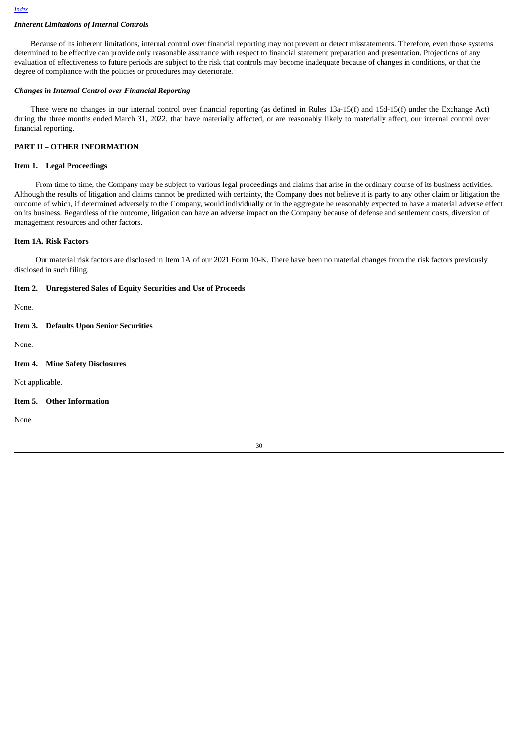# *Inherent Limitations of Internal Controls*

Because of its inherent limitations, internal control over financial reporting may not prevent or detect misstatements. Therefore, even those systems determined to be effective can provide only reasonable assurance with respect to financial statement preparation and presentation. Projections of any evaluation of effectiveness to future periods are subject to the risk that controls may become inadequate because of changes in conditions, or that the degree of compliance with the policies or procedures may deteriorate.

# *Changes in Internal Control over Financial Reporting*

There were no changes in our internal control over financial reporting (as defined in Rules 13a-15(f) and 15d-15(f) under the Exchange Act) during the three months ended March 31, 2022, that have materially affected, or are reasonably likely to materially affect, our internal control over financial reporting.

# **PART II – OTHER INFORMATION**

# <span id="page-29-0"></span>**Item 1. Legal Proceedings**

From time to time, the Company may be subject to various legal proceedings and claims that arise in the ordinary course of its business activities. Although the results of litigation and claims cannot be predicted with certainty, the Company does not believe it is party to any other claim or litigation the outcome of which, if determined adversely to the Company, would individually or in the aggregate be reasonably expected to have a material adverse effect on its business. Regardless of the outcome, litigation can have an adverse impact on the Company because of defense and settlement costs, diversion of management resources and other factors.

#### <span id="page-29-1"></span>**Item 1A. Risk Factors**

Our material risk factors are disclosed in Item 1A of our 2021 Form 10-K. There have been no material changes from the risk factors previously disclosed in such filing.

#### <span id="page-29-2"></span>**Item 2. Unregistered Sales of Equity Securities and Use of Proceeds**

None.

#### <span id="page-29-3"></span>**Item 3. Defaults Upon Senior Securities**

None.

<span id="page-29-4"></span>**Item 4. Mine Safety Disclosures**

Not applicable.

# <span id="page-29-5"></span>**Item 5. Other Information**

None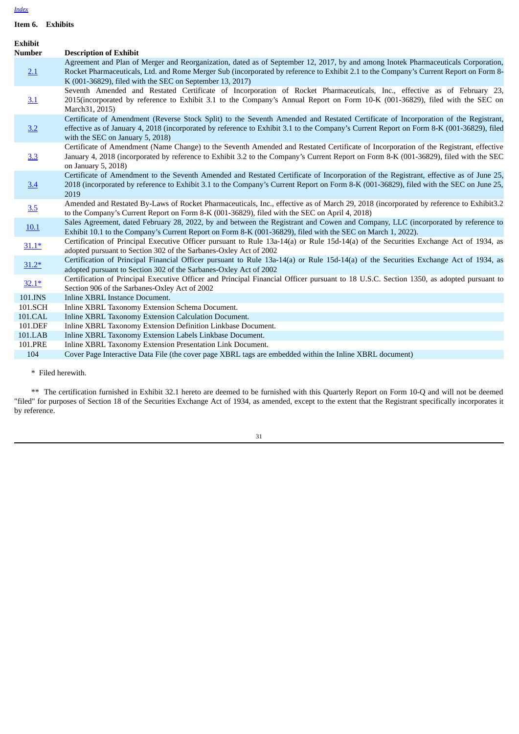<span id="page-30-0"></span>**Item 6. Exhibits**

| <b>Exhibit</b> |                                                                                                                                                                                                                                                                                                                                        |
|----------------|----------------------------------------------------------------------------------------------------------------------------------------------------------------------------------------------------------------------------------------------------------------------------------------------------------------------------------------|
| <b>Number</b>  | <b>Description of Exhibit</b>                                                                                                                                                                                                                                                                                                          |
| 2.1            | Agreement and Plan of Merger and Reorganization, dated as of September 12, 2017, by and among Inotek Pharmaceuticals Corporation,<br>Rocket Pharmaceuticals, Ltd. and Rome Merger Sub (incorporated by reference to Exhibit 2.1 to the Company's Current Report on Form 8-<br>K (001-36829), filed with the SEC on September 13, 2017) |
| 3.1            | Seventh Amended and Restated Certificate of Incorporation of Rocket Pharmaceuticals, Inc., effective as of February 23,<br>2015(incorporated by reference to Exhibit 3.1 to the Company's Annual Report on Form 10-K (001-36829), filed with the SEC on<br>March 31, 2015)                                                             |
| 3.2            | Certificate of Amendment (Reverse Stock Split) to the Seventh Amended and Restated Certificate of Incorporation of the Registrant,<br>effective as of January 4, 2018 (incorporated by reference to Exhibit 3.1 to the Company's Current Report on Form 8-K (001-36829), filed<br>with the SEC on January 5, 2018)                     |
| 3.3            | Certificate of Amendment (Name Change) to the Seventh Amended and Restated Certificate of Incorporation of the Registrant, effective<br>January 4, 2018 (incorporated by reference to Exhibit 3.2 to the Company's Current Report on Form 8-K (001-36829), filed with the SEC<br>on January 5, 2018)                                   |
| 3.4            | Certificate of Amendment to the Seventh Amended and Restated Certificate of Incorporation of the Registrant, effective as of June 25,<br>2018 (incorporated by reference to Exhibit 3.1 to the Company's Current Report on Form 8-K (001-36829), filed with the SEC on June 25,<br>2019                                                |
| 3.5            | Amended and Restated By-Laws of Rocket Pharmaceuticals, Inc., effective as of March 29, 2018 (incorporated by reference to Exhibit3.2<br>to the Company's Current Report on Form 8-K (001-36829), filed with the SEC on April 4, 2018)                                                                                                 |
| 10.1           | Sales Agreement, dated February 28, 2022, by and between the Registrant and Cowen and Company, LLC (incorporated by reference to<br>Exhibit 10.1 to the Company's Current Report on Form 8-K (001-36829), filed with the SEC on March 1, 2022).                                                                                        |
| $31.1*$        | Certification of Principal Executive Officer pursuant to Rule 13a-14(a) or Rule 15d-14(a) of the Securities Exchange Act of 1934, as<br>adopted pursuant to Section 302 of the Sarbanes-Oxley Act of 2002                                                                                                                              |
| $31.2*$        | Certification of Principal Financial Officer pursuant to Rule 13a-14(a) or Rule 15d-14(a) of the Securities Exchange Act of 1934, as<br>adopted pursuant to Section 302 of the Sarbanes-Oxley Act of 2002                                                                                                                              |
| $32.1*$        | Certification of Principal Executive Officer and Principal Financial Officer pursuant to 18 U.S.C. Section 1350, as adopted pursuant to<br>Section 906 of the Sarbanes-Oxley Act of 2002                                                                                                                                               |
| 101.INS        | Inline XBRL Instance Document.                                                                                                                                                                                                                                                                                                         |
| 101.SCH        | Inline XBRL Taxonomy Extension Schema Document.                                                                                                                                                                                                                                                                                        |
| 101.CAL        | Inline XBRL Taxonomy Extension Calculation Document.                                                                                                                                                                                                                                                                                   |
| 101.DEF        | Inline XBRL Taxonomy Extension Definition Linkbase Document.                                                                                                                                                                                                                                                                           |
| 101.LAB        | Inline XBRL Taxonomy Extension Labels Linkbase Document.                                                                                                                                                                                                                                                                               |
| 101.PRE        | Inline XBRL Taxonomy Extension Presentation Link Document.                                                                                                                                                                                                                                                                             |
| 104            | Cover Page Interactive Data File (the cover page XBRL tags are embedded within the Inline XBRL document)                                                                                                                                                                                                                               |

\* Filed herewith.

\*\* The certification furnished in Exhibit 32.1 hereto are deemed to be furnished with this Quarterly Report on Form 10-Q and will not be deemed "filed" for purposes of Section 18 of the Securities Exchange Act of 1934, as amended, except to the extent that the Registrant specifically incorporates it by reference.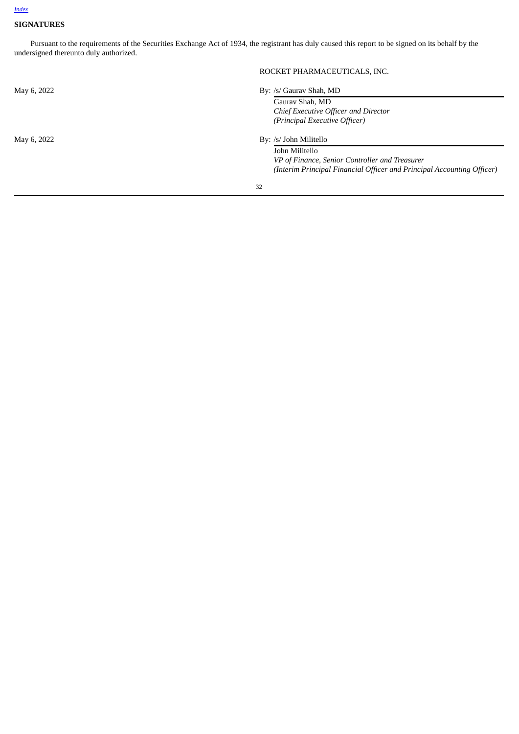# <span id="page-31-0"></span>**SIGNATURES**

Pursuant to the requirements of the Securities Exchange Act of 1934, the registrant has duly caused this report to be signed on its behalf by the undersigned thereunto duly authorized.

|             | ROCKET PHARMACEUTICALS, INC.                                           |
|-------------|------------------------------------------------------------------------|
| May 6, 2022 | By: /s/ Gauray Shah, MD                                                |
|             | Gauray Shah, MD                                                        |
|             | Chief Executive Officer and Director                                   |
|             | (Principal Executive Officer)                                          |
| May 6, 2022 | By: /s/ John Militello                                                 |
|             | John Militello                                                         |
|             | VP of Finance, Senior Controller and Treasurer                         |
|             | (Interim Principal Financial Officer and Principal Accounting Officer) |
|             |                                                                        |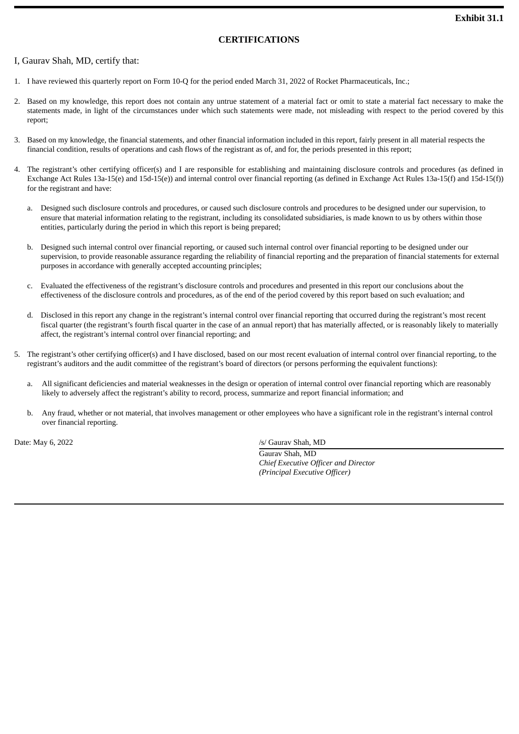# **CERTIFICATIONS**

# <span id="page-32-0"></span>I, Gaurav Shah, MD, certify that:

- 1. I have reviewed this quarterly report on Form 10-Q for the period ended March 31, 2022 of Rocket Pharmaceuticals, Inc.;
- 2. Based on my knowledge, this report does not contain any untrue statement of a material fact or omit to state a material fact necessary to make the statements made, in light of the circumstances under which such statements were made, not misleading with respect to the period covered by this report;
- 3. Based on my knowledge, the financial statements, and other financial information included in this report, fairly present in all material respects the financial condition, results of operations and cash flows of the registrant as of, and for, the periods presented in this report;
- 4. The registrant's other certifying officer(s) and I are responsible for establishing and maintaining disclosure controls and procedures (as defined in Exchange Act Rules 13a-15(e) and 15d-15(e)) and internal control over financial reporting (as defined in Exchange Act Rules 13a-15(f) and 15d-15(f)) for the registrant and have:
	- a. Designed such disclosure controls and procedures, or caused such disclosure controls and procedures to be designed under our supervision, to ensure that material information relating to the registrant, including its consolidated subsidiaries, is made known to us by others within those entities, particularly during the period in which this report is being prepared;
	- b. Designed such internal control over financial reporting, or caused such internal control over financial reporting to be designed under our supervision, to provide reasonable assurance regarding the reliability of financial reporting and the preparation of financial statements for external purposes in accordance with generally accepted accounting principles;
	- c. Evaluated the effectiveness of the registrant's disclosure controls and procedures and presented in this report our conclusions about the effectiveness of the disclosure controls and procedures, as of the end of the period covered by this report based on such evaluation; and
	- d. Disclosed in this report any change in the registrant's internal control over financial reporting that occurred during the registrant's most recent fiscal quarter (the registrant's fourth fiscal quarter in the case of an annual report) that has materially affected, or is reasonably likely to materially affect, the registrant's internal control over financial reporting; and
- 5. The registrant's other certifying officer(s) and I have disclosed, based on our most recent evaluation of internal control over financial reporting, to the registrant's auditors and the audit committee of the registrant's board of directors (or persons performing the equivalent functions):
	- a. All significant deficiencies and material weaknesses in the design or operation of internal control over financial reporting which are reasonably likely to adversely affect the registrant's ability to record, process, summarize and report financial information; and
	- b. Any fraud, whether or not material, that involves management or other employees who have a significant role in the registrant's internal control over financial reporting.

Date: May 6, 2022 /s/ Gaurav Shah, MD

Gaurav Shah, MD *Chief Executive Officer and Director (Principal Executive Officer)*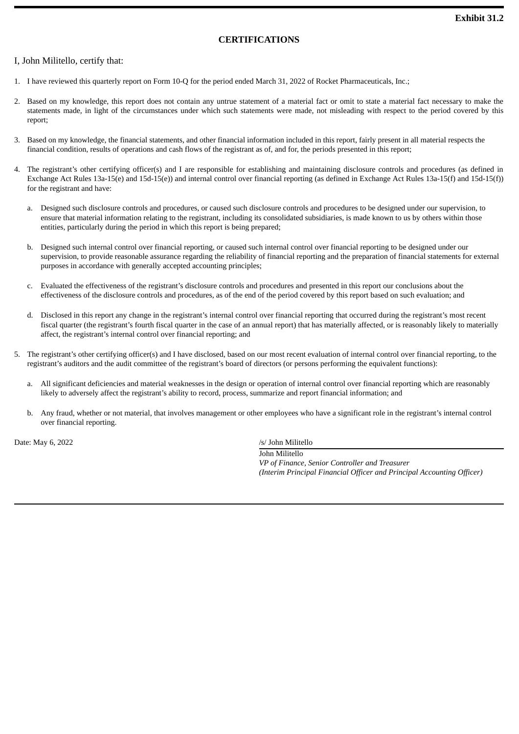# **CERTIFICATIONS**

# <span id="page-33-0"></span>I, John Militello, certify that:

- 1. I have reviewed this quarterly report on Form 10-Q for the period ended March 31, 2022 of Rocket Pharmaceuticals, Inc.;
- 2. Based on my knowledge, this report does not contain any untrue statement of a material fact or omit to state a material fact necessary to make the statements made, in light of the circumstances under which such statements were made, not misleading with respect to the period covered by this report;
- 3. Based on my knowledge, the financial statements, and other financial information included in this report, fairly present in all material respects the financial condition, results of operations and cash flows of the registrant as of, and for, the periods presented in this report;
- 4. The registrant's other certifying officer(s) and I are responsible for establishing and maintaining disclosure controls and procedures (as defined in Exchange Act Rules 13a-15(e) and 15d-15(e)) and internal control over financial reporting (as defined in Exchange Act Rules 13a-15(f) and 15d-15(f)) for the registrant and have:
	- a. Designed such disclosure controls and procedures, or caused such disclosure controls and procedures to be designed under our supervision, to ensure that material information relating to the registrant, including its consolidated subsidiaries, is made known to us by others within those entities, particularly during the period in which this report is being prepared;
	- b. Designed such internal control over financial reporting, or caused such internal control over financial reporting to be designed under our supervision, to provide reasonable assurance regarding the reliability of financial reporting and the preparation of financial statements for external purposes in accordance with generally accepted accounting principles;
	- c. Evaluated the effectiveness of the registrant's disclosure controls and procedures and presented in this report our conclusions about the effectiveness of the disclosure controls and procedures, as of the end of the period covered by this report based on such evaluation; and
	- d. Disclosed in this report any change in the registrant's internal control over financial reporting that occurred during the registrant's most recent fiscal quarter (the registrant's fourth fiscal quarter in the case of an annual report) that has materially affected, or is reasonably likely to materially affect, the registrant's internal control over financial reporting; and
- 5. The registrant's other certifying officer(s) and I have disclosed, based on our most recent evaluation of internal control over financial reporting, to the registrant's auditors and the audit committee of the registrant's board of directors (or persons performing the equivalent functions):
	- a. All significant deficiencies and material weaknesses in the design or operation of internal control over financial reporting which are reasonably likely to adversely affect the registrant's ability to record, process, summarize and report financial information; and
	- b. Any fraud, whether or not material, that involves management or other employees who have a significant role in the registrant's internal control over financial reporting.

Date: May 6, 2022 /s/ John Militello

John Militello *VP of Finance, Senior Controller and Treasurer (Interim Principal Financial Officer and Principal Accounting Officer)*